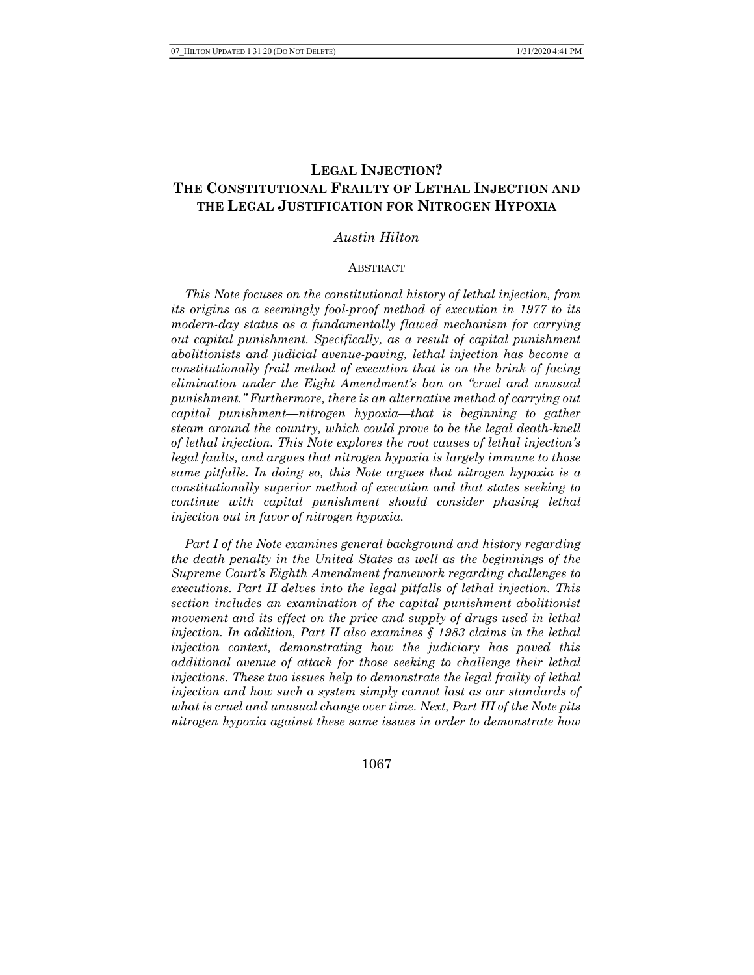# LEGAL INJECTION? THE CONSTITUTIONAL FRAILTY OF LETHAL INJECTION AND THE LEGAL JUSTIFICATION FOR NITROGEN HYPOXIA

### Austin Hilton

#### ABSTRACT

 This Note focuses on the constitutional history of lethal injection, from its origins as a seemingly fool-proof method of execution in 1977 to its modern-day status as a fundamentally flawed mechanism for carrying out capital punishment. Specifically, as a result of capital punishment abolitionists and judicial avenue-paving, lethal injection has become a constitutionally frail method of execution that is on the brink of facing elimination under the Eight Amendment's ban on "cruel and unusual punishment." Furthermore, there is an alternative method of carrying out capital punishment—nitrogen hypoxia—that is beginning to gather steam around the country, which could prove to be the legal death-knell of lethal injection. This Note explores the root causes of lethal injection's legal faults, and argues that nitrogen hypoxia is largely immune to those same pitfalls. In doing so, this Note argues that nitrogen hypoxia is a constitutionally superior method of execution and that states seeking to continue with capital punishment should consider phasing lethal injection out in favor of nitrogen hypoxia.

 Part I of the Note examines general background and history regarding the death penalty in the United States as well as the beginnings of the Supreme Court's Eighth Amendment framework regarding challenges to executions. Part II delves into the legal pitfalls of lethal injection. This section includes an examination of the capital punishment abolitionist movement and its effect on the price and supply of drugs used in lethal injection. In addition, Part II also examines  $\S$  1983 claims in the lethal injection context, demonstrating how the judiciary has paved this additional avenue of attack for those seeking to challenge their lethal injections. These two issues help to demonstrate the legal frailty of lethal injection and how such a system simply cannot last as our standards of what is cruel and unusual change over time. Next, Part III of the Note pits nitrogen hypoxia against these same issues in order to demonstrate how

1067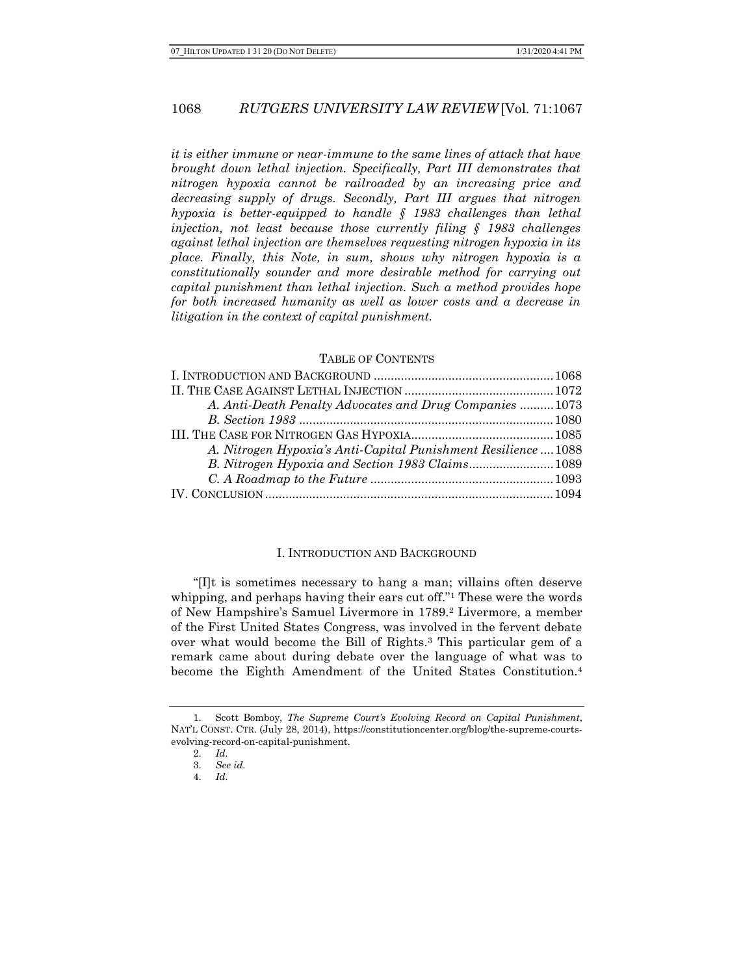it is either immune or near-immune to the same lines of attack that have brought down lethal injection. Specifically, Part III demonstrates that nitrogen hypoxia cannot be railroaded by an increasing price and decreasing supply of drugs. Secondly, Part III argues that nitrogen hypoxia is better-equipped to handle  $\S$  1983 challenges than lethal injection, not least because those currently filing § 1983 challenges against lethal injection are themselves requesting nitrogen hypoxia in its place. Finally, this Note, in sum, shows why nitrogen hypoxia is a constitutionally sounder and more desirable method for carrying out capital punishment than lethal injection. Such a method provides hope for both increased humanity as well as lower costs and a decrease in litigation in the context of capital punishment.

### TABLE OF CONTENTS

| A. Anti-Death Penalty Advocates and Drug Companies  1073       |  |
|----------------------------------------------------------------|--|
|                                                                |  |
|                                                                |  |
| A. Nitrogen Hypoxia's Anti-Capital Punishment Resilience  1088 |  |
|                                                                |  |
|                                                                |  |
|                                                                |  |

### I. INTRODUCTION AND BACKGROUND

"[I]t is sometimes necessary to hang a man; villains often deserve whipping, and perhaps having their ears cut off."1 These were the words of New Hampshire's Samuel Livermore in 1789.2 Livermore, a member of the First United States Congress, was involved in the fervent debate over what would become the Bill of Rights.3 This particular gem of a remark came about during debate over the language of what was to become the Eighth Amendment of the United States Constitution.<sup>4</sup>

<sup>1.</sup> Scott Bomboy, The Supreme Court's Evolving Record on Capital Punishment, NAT'L CONST. CTR. (July 28, 2014), https://constitutioncenter.org/blog/the-supreme-courtsevolving-record-on-capital-punishment.

<sup>2.</sup> Id.

<sup>3.</sup> See id.

<sup>4.</sup> Id.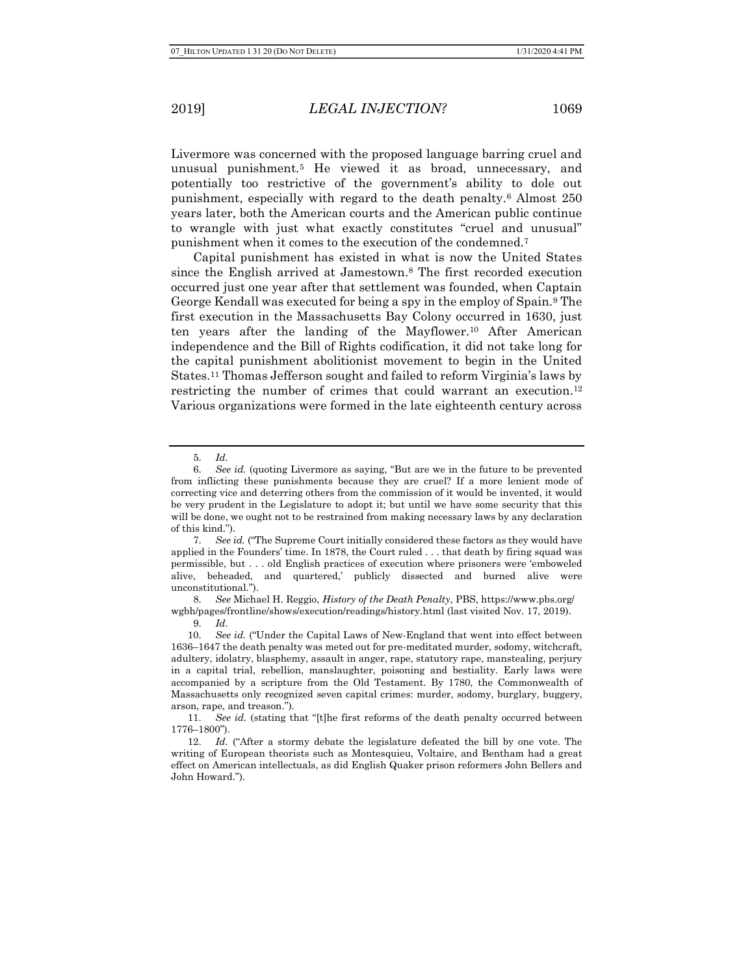Livermore was concerned with the proposed language barring cruel and unusual punishment.5 He viewed it as broad, unnecessary, and potentially too restrictive of the government's ability to dole out punishment, especially with regard to the death penalty.6 Almost 250 years later, both the American courts and the American public continue to wrangle with just what exactly constitutes "cruel and unusual" punishment when it comes to the execution of the condemned.<sup>7</sup>

Capital punishment has existed in what is now the United States since the English arrived at Jamestown.8 The first recorded execution occurred just one year after that settlement was founded, when Captain George Kendall was executed for being a spy in the employ of Spain.9 The first execution in the Massachusetts Bay Colony occurred in 1630, just ten years after the landing of the Mayflower.10 After American independence and the Bill of Rights codification, it did not take long for the capital punishment abolitionist movement to begin in the United States.11 Thomas Jefferson sought and failed to reform Virginia's laws by restricting the number of crimes that could warrant an execution.<sup>12</sup> Various organizations were formed in the late eighteenth century across

8. See Michael H. Reggio, History of the Death Penalty, PBS, https://www.pbs.org/ wgbh/pages/frontline/shows/execution/readings/history.html (last visited Nov. 17, 2019).

<sup>5.</sup> Id.

<sup>6.</sup> See id. (quoting Livermore as saying, "But are we in the future to be prevented from inflicting these punishments because they are cruel? If a more lenient mode of correcting vice and deterring others from the commission of it would be invented, it would be very prudent in the Legislature to adopt it; but until we have some security that this will be done, we ought not to be restrained from making necessary laws by any declaration of this kind.").

<sup>7.</sup> See id. ("The Supreme Court initially considered these factors as they would have applied in the Founders' time. In 1878, the Court ruled . . . that death by firing squad was permissible, but . . . old English practices of execution where prisoners were 'emboweled alive, beheaded, and quartered,' publicly dissected and burned alive were unconstitutional.").

<sup>9.</sup> Id.

<sup>10.</sup> See id. ("Under the Capital Laws of New-England that went into effect between 1636–1647 the death penalty was meted out for pre-meditated murder, sodomy, witchcraft, adultery, idolatry, blasphemy, assault in anger, rape, statutory rape, manstealing, perjury in a capital trial, rebellion, manslaughter, poisoning and bestiality. Early laws were accompanied by a scripture from the Old Testament. By 1780, the Commonwealth of Massachusetts only recognized seven capital crimes: murder, sodomy, burglary, buggery, arson, rape, and treason.").

<sup>11.</sup> See id. (stating that "[t]he first reforms of the death penalty occurred between 1776–1800").

<sup>12.</sup> Id. ("After a stormy debate the legislature defeated the bill by one vote. The writing of European theorists such as Montesquieu, Voltaire, and Bentham had a great effect on American intellectuals, as did English Quaker prison reformers John Bellers and John Howard.").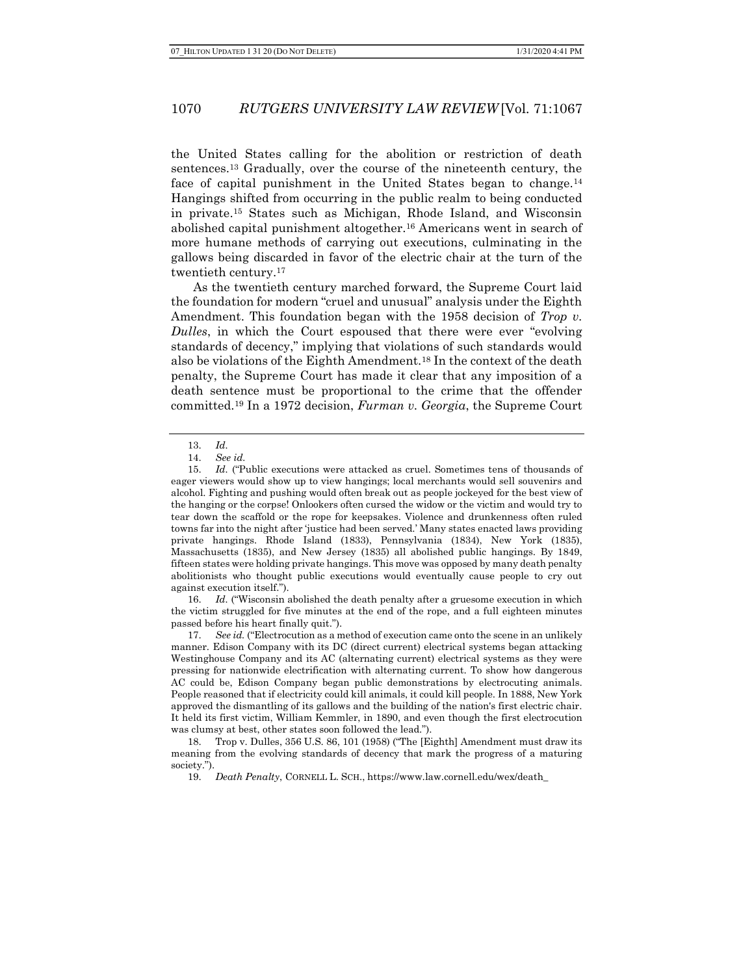the United States calling for the abolition or restriction of death sentences.13 Gradually, over the course of the nineteenth century, the face of capital punishment in the United States began to change.<sup>14</sup> Hangings shifted from occurring in the public realm to being conducted in private.15 States such as Michigan, Rhode Island, and Wisconsin abolished capital punishment altogether.16 Americans went in search of more humane methods of carrying out executions, culminating in the gallows being discarded in favor of the electric chair at the turn of the twentieth century.<sup>17</sup>

As the twentieth century marched forward, the Supreme Court laid the foundation for modern "cruel and unusual" analysis under the Eighth Amendment. This foundation began with the 1958 decision of Trop v. Dulles, in which the Court espoused that there were ever "evolving standards of decency," implying that violations of such standards would also be violations of the Eighth Amendment.18 In the context of the death penalty, the Supreme Court has made it clear that any imposition of a death sentence must be proportional to the crime that the offender committed.19 In a 1972 decision, Furman v. Georgia, the Supreme Court

16. Id. ("Wisconsin abolished the death penalty after a gruesome execution in which the victim struggled for five minutes at the end of the rope, and a full eighteen minutes passed before his heart finally quit.").

17. See id. ("Electrocution as a method of execution came onto the scene in an unlikely manner. Edison Company with its DC (direct current) electrical systems began attacking Westinghouse Company and its AC (alternating current) electrical systems as they were pressing for nationwide electrification with alternating current. To show how dangerous AC could be, Edison Company began public demonstrations by electrocuting animals. People reasoned that if electricity could kill animals, it could kill people. In 1888, New York approved the dismantling of its gallows and the building of the nation's first electric chair. It held its first victim, William Kemmler, in 1890, and even though the first electrocution was clumsy at best, other states soon followed the lead.").

18. Trop v. Dulles, 356 U.S. 86, 101 (1958) ("The [Eighth] Amendment must draw its meaning from the evolving standards of decency that mark the progress of a maturing society.").

19. Death Penalty, CORNELL L. SCH., https://www.law.cornell.edu/wex/death\_

<sup>13.</sup> Id.

<sup>14.</sup> See id.

<sup>15.</sup> Id. ("Public executions were attacked as cruel. Sometimes tens of thousands of eager viewers would show up to view hangings; local merchants would sell souvenirs and alcohol. Fighting and pushing would often break out as people jockeyed for the best view of the hanging or the corpse! Onlookers often cursed the widow or the victim and would try to tear down the scaffold or the rope for keepsakes. Violence and drunkenness often ruled towns far into the night after 'justice had been served.' Many states enacted laws providing private hangings. Rhode Island (1833), Pennsylvania (1834), New York (1835), Massachusetts (1835), and New Jersey (1835) all abolished public hangings. By 1849, fifteen states were holding private hangings. This move was opposed by many death penalty abolitionists who thought public executions would eventually cause people to cry out against execution itself.").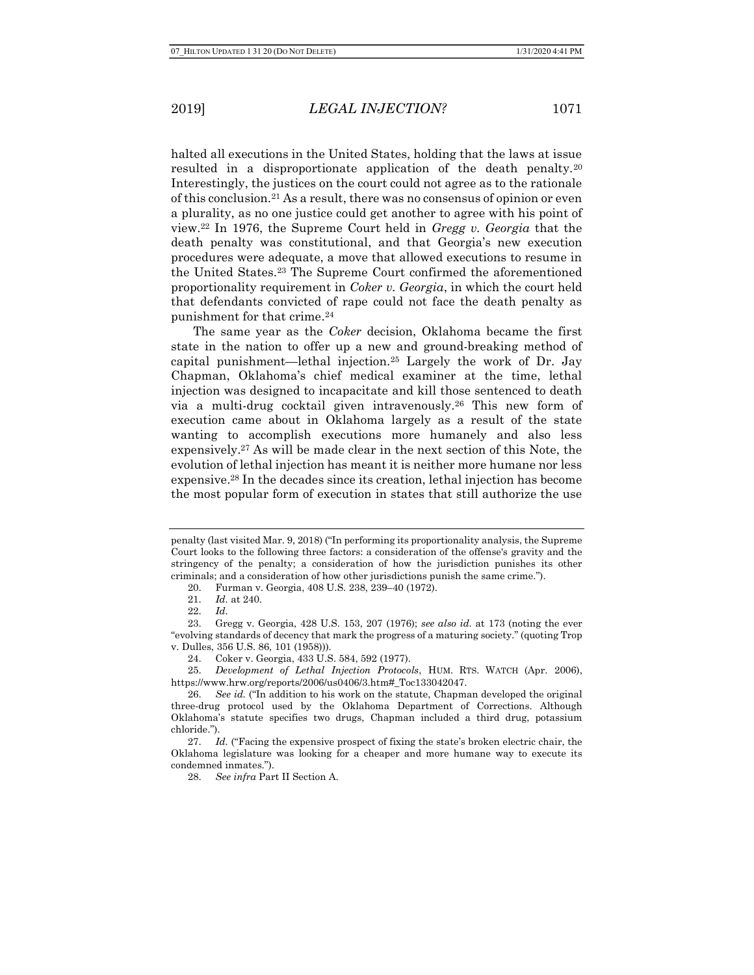halted all executions in the United States, holding that the laws at issue resulted in a disproportionate application of the death penalty.<sup>20</sup> Interestingly, the justices on the court could not agree as to the rationale of this conclusion.21 As a result, there was no consensus of opinion or even a plurality, as no one justice could get another to agree with his point of view.22 In 1976, the Supreme Court held in Gregg v. Georgia that the death penalty was constitutional, and that Georgia's new execution procedures were adequate, a move that allowed executions to resume in the United States.23 The Supreme Court confirmed the aforementioned proportionality requirement in Coker v. Georgia, in which the court held that defendants convicted of rape could not face the death penalty as punishment for that crime.<sup>24</sup>

The same year as the Coker decision, Oklahoma became the first state in the nation to offer up a new and ground-breaking method of capital punishment—lethal injection.25 Largely the work of Dr. Jay Chapman, Oklahoma's chief medical examiner at the time, lethal injection was designed to incapacitate and kill those sentenced to death via a multi-drug cocktail given intravenously.26 This new form of execution came about in Oklahoma largely as a result of the state wanting to accomplish executions more humanely and also less expensively.27 As will be made clear in the next section of this Note, the evolution of lethal injection has meant it is neither more humane nor less expensive.28 In the decades since its creation, lethal injection has become the most popular form of execution in states that still authorize the use

25. Development of Lethal Injection Protocols, HUM. RTS. WATCH (Apr. 2006), https://www.hrw.org/reports/2006/us0406/3.htm#\_Toc133042047.

penalty (last visited Mar. 9, 2018) ("In performing its proportionality analysis, the Supreme Court looks to the following three factors: a consideration of the offense's gravity and the stringency of the penalty; a consideration of how the jurisdiction punishes its other criminals; and a consideration of how other jurisdictions punish the same crime.").

<sup>20.</sup> Furman v. Georgia, 408 U.S. 238, 239–40 (1972).

<sup>21.</sup> Id. at 240.

<sup>22.</sup> Id.

<sup>23.</sup> Gregg v. Georgia, 428 U.S. 153, 207 (1976); see also id. at 173 (noting the ever "evolving standards of decency that mark the progress of a maturing society." (quoting Trop v. Dulles, 356 U.S. 86, 101 (1958))).

<sup>24.</sup> Coker v. Georgia, 433 U.S. 584, 592 (1977).

<sup>26.</sup> See id. ("In addition to his work on the statute, Chapman developed the original three-drug protocol used by the Oklahoma Department of Corrections. Although Oklahoma's statute specifies two drugs, Chapman included a third drug, potassium chloride.").

<sup>27.</sup> Id. ("Facing the expensive prospect of fixing the state's broken electric chair, the Oklahoma legislature was looking for a cheaper and more humane way to execute its condemned inmates.").

<sup>28.</sup> See infra Part II Section A.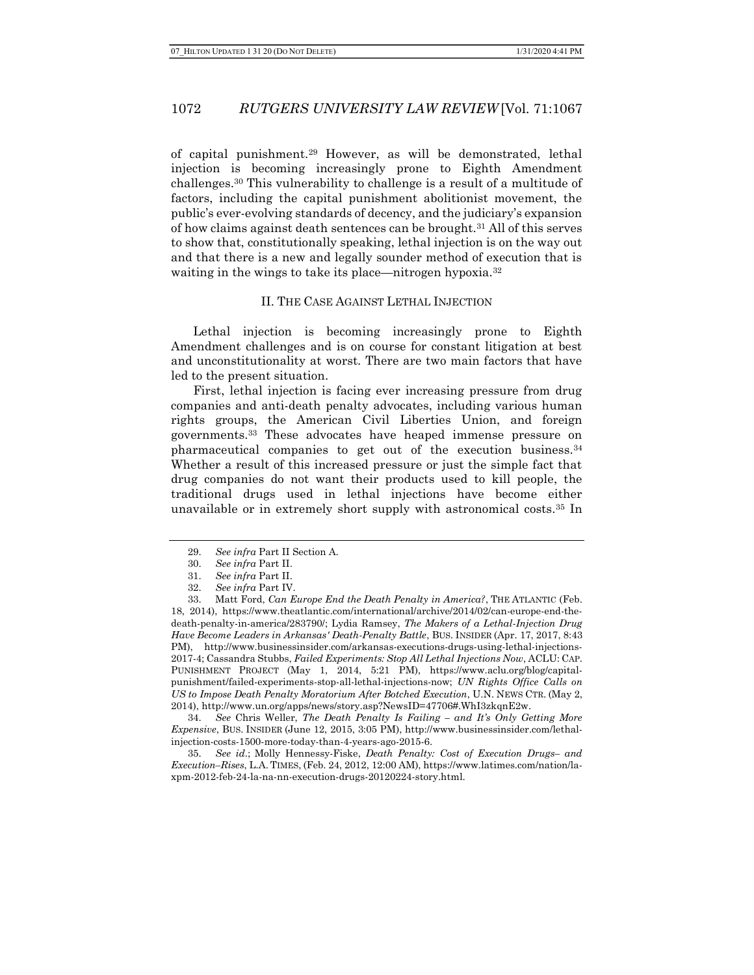of capital punishment.29 However, as will be demonstrated, lethal injection is becoming increasingly prone to Eighth Amendment challenges.30 This vulnerability to challenge is a result of a multitude of factors, including the capital punishment abolitionist movement, the public's ever-evolving standards of decency, and the judiciary's expansion of how claims against death sentences can be brought.31 All of this serves to show that, constitutionally speaking, lethal injection is on the way out and that there is a new and legally sounder method of execution that is waiting in the wings to take its place—nitrogen hypoxia.<sup>32</sup>

#### II. THE CASE AGAINST LETHAL INJECTION

Lethal injection is becoming increasingly prone to Eighth Amendment challenges and is on course for constant litigation at best and unconstitutionality at worst. There are two main factors that have led to the present situation.

First, lethal injection is facing ever increasing pressure from drug companies and anti-death penalty advocates, including various human rights groups, the American Civil Liberties Union, and foreign governments.33 These advocates have heaped immense pressure on pharmaceutical companies to get out of the execution business.<sup>34</sup> Whether a result of this increased pressure or just the simple fact that drug companies do not want their products used to kill people, the traditional drugs used in lethal injections have become either unavailable or in extremely short supply with astronomical costs.35 In

34. See Chris Weller, The Death Penalty Is Failing – and It's Only Getting More Expensive, BUS. INSIDER (June 12, 2015, 3:05 PM), http://www.businessinsider.com/lethalinjection-costs-1500-more-today-than-4-years-ago-2015-6.

35. See id.; Molly Hennessy-Fiske, Death Penalty: Cost of Execution Drugs– and Execution–Rises, L.A. TIMES, (Feb. 24, 2012, 12:00 AM), https://www.latimes.com/nation/laxpm-2012-feb-24-la-na-nn-execution-drugs-20120224-story.html.

<sup>29.</sup> See infra Part II Section A.

<sup>30.</sup> See infra Part II.

<sup>31.</sup> See infra Part II.

<sup>32.</sup> See infra Part IV.

<sup>33.</sup> Matt Ford, Can Europe End the Death Penalty in America?, THE ATLANTIC (Feb. 18, 2014), https://www.theatlantic.com/international/archive/2014/02/can-europe-end-thedeath-penalty-in-america/283790/; Lydia Ramsey, The Makers of a Lethal-Injection Drug Have Become Leaders in Arkansas' Death-Penalty Battle, BUS. INSIDER (Apr. 17, 2017, 8:43 PM), http://www.businessinsider.com/arkansas-executions-drugs-using-lethal-injections-2017-4; Cassandra Stubbs, Failed Experiments: Stop All Lethal Injections Now, ACLU: CAP. PUNISHMENT PROJECT (May 1, 2014, 5:21 PM), https://www.aclu.org/blog/capitalpunishment/failed-experiments-stop-all-lethal-injections-now; UN Rights Office Calls on US to Impose Death Penalty Moratorium After Botched Execution, U.N. NEWS CTR. (May 2, 2014), http://www.un.org/apps/news/story.asp?NewsID=47706#.WhI3zkqnE2w.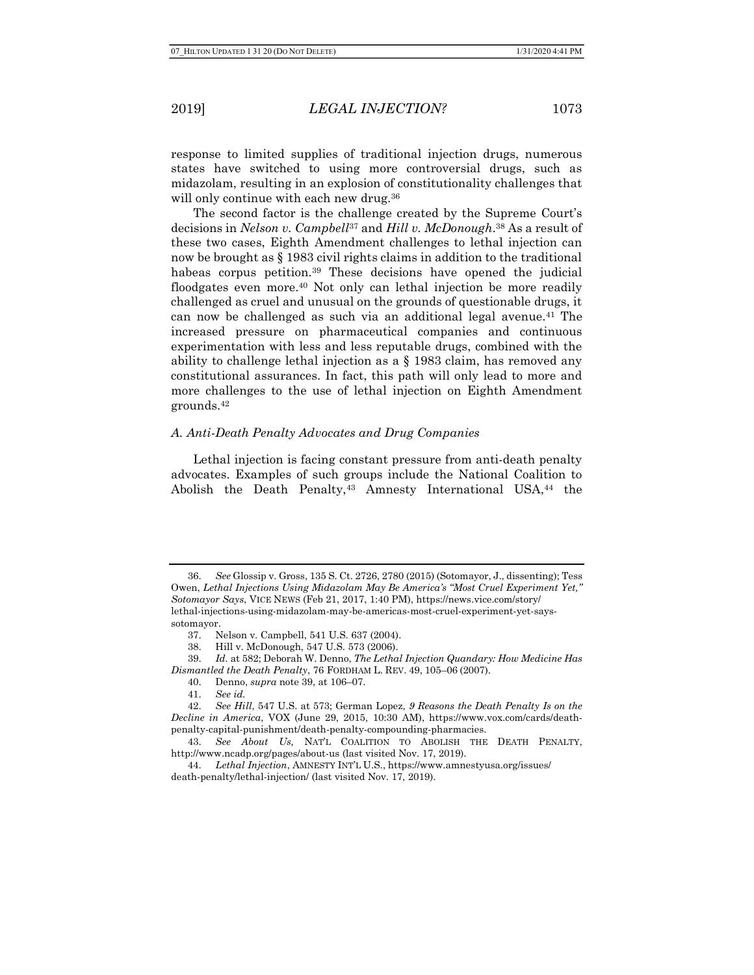response to limited supplies of traditional injection drugs, numerous states have switched to using more controversial drugs, such as midazolam, resulting in an explosion of constitutionality challenges that will only continue with each new drug.<sup>36</sup>

The second factor is the challenge created by the Supreme Court's decisions in Nelson v. Campbell<sup>37</sup> and Hill v. McDonough.<sup>38</sup> As a result of these two cases, Eighth Amendment challenges to lethal injection can now be brought as § 1983 civil rights claims in addition to the traditional habeas corpus petition.39 These decisions have opened the judicial floodgates even more.<sup>40</sup> Not only can lethal injection be more readily challenged as cruel and unusual on the grounds of questionable drugs, it can now be challenged as such via an additional legal avenue.<sup>41</sup> The increased pressure on pharmaceutical companies and continuous experimentation with less and less reputable drugs, combined with the ability to challenge lethal injection as a § 1983 claim, has removed any constitutional assurances. In fact, this path will only lead to more and more challenges to the use of lethal injection on Eighth Amendment grounds.<sup>42</sup>

### A. Anti-Death Penalty Advocates and Drug Companies

Lethal injection is facing constant pressure from anti-death penalty advocates. Examples of such groups include the National Coalition to Abolish the Death Penalty,<sup>43</sup> Amnesty International USA,<sup>44</sup> the

<sup>36.</sup> See Glossip v. Gross, 135 S. Ct. 2726, 2780 (2015) (Sotomayor, J., dissenting); Tess Owen, Lethal Injections Using Midazolam May Be America's "Most Cruel Experiment Yet," Sotomayor Says, VICE NEWS (Feb 21, 2017, 1:40 PM), https://news.vice.com/story/ lethal-injections-using-midazolam-may-be-americas-most-cruel-experiment-yet-sayssotomayor.

<sup>37.</sup> Nelson v. Campbell, 541 U.S. 637 (2004).

<sup>38.</sup> Hill v. McDonough, 547 U.S. 573 (2006).

<sup>39.</sup> Id. at 582; Deborah W. Denno, The Lethal Injection Quandary: How Medicine Has Dismantled the Death Penalty, 76 FORDHAM L. REV. 49, 105–06 (2007).

<sup>40.</sup> Denno, supra note 39, at 106–07.

<sup>41.</sup> See id.

<sup>42.</sup> See Hill, 547 U.S. at 573; German Lopez, 9 Reasons the Death Penalty Is on the Decline in America, VOX (June 29, 2015, 10:30 AM), https://www.vox.com/cards/deathpenalty-capital-punishment/death-penalty-compounding-pharmacies.

<sup>43.</sup> See About Us, NAT'L COALITION TO ABOLISH THE DEATH PENALTY, http://www.ncadp.org/pages/about-us (last visited Nov. 17, 2019).

<sup>44.</sup> Lethal Injection, AMNESTY INT'L U.S., https://www.amnestyusa.org/issues/ death-penalty/lethal-injection/ (last visited Nov. 17, 2019).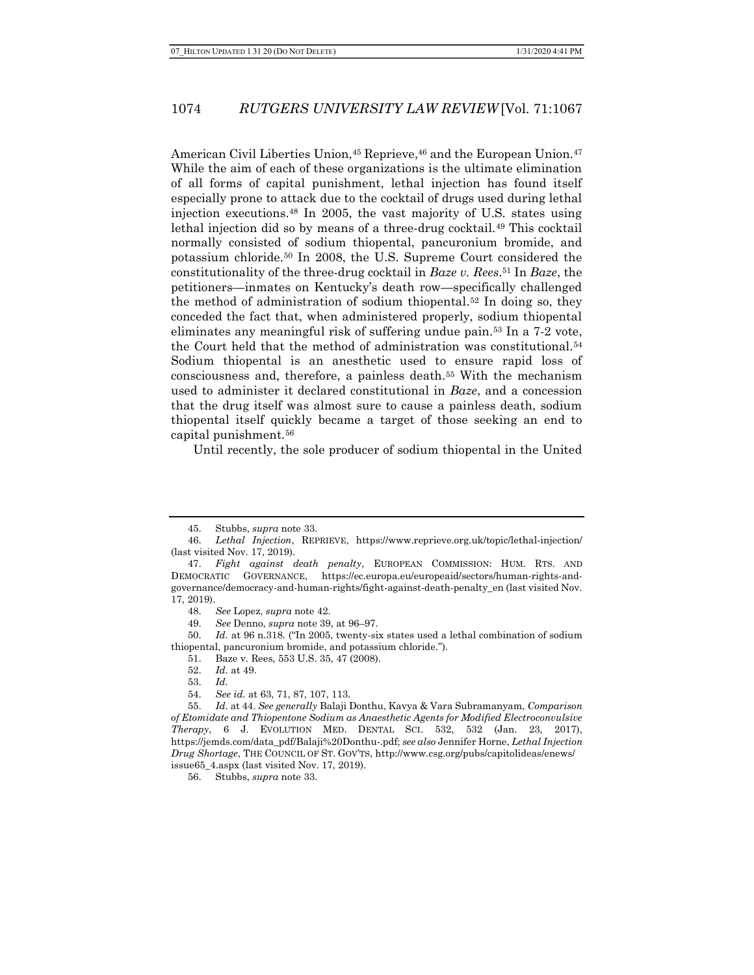American Civil Liberties Union, 45 Reprieve, 46 and the European Union. 47 While the aim of each of these organizations is the ultimate elimination of all forms of capital punishment, lethal injection has found itself especially prone to attack due to the cocktail of drugs used during lethal injection executions.48 In 2005, the vast majority of U.S. states using lethal injection did so by means of a three-drug cocktail.<sup>49</sup> This cocktail normally consisted of sodium thiopental, pancuronium bromide, and potassium chloride.50 In 2008, the U.S. Supreme Court considered the constitutionality of the three-drug cocktail in Baze v. Rees. <sup>51</sup> In Baze, the petitioners—inmates on Kentucky's death row—specifically challenged the method of administration of sodium thiopental.<sup>52</sup> In doing so, they conceded the fact that, when administered properly, sodium thiopental eliminates any meaningful risk of suffering undue pain.53 In a 7-2 vote, the Court held that the method of administration was constitutional.<sup>54</sup> Sodium thiopental is an anesthetic used to ensure rapid loss of consciousness and, therefore, a painless death.55 With the mechanism used to administer it declared constitutional in Baze, and a concession that the drug itself was almost sure to cause a painless death, sodium thiopental itself quickly became a target of those seeking an end to capital punishment.<sup>56</sup>

Until recently, the sole producer of sodium thiopental in the United

49. See Denno, supra note 39, at 96–97.

50. Id. at 96 n.318. ("In 2005, twenty-six states used a lethal combination of sodium thiopental, pancuronium bromide, and potassium chloride.").

54. See id. at 63, 71, 87, 107, 113.

56. Stubbs, supra note 33.

<sup>45.</sup> Stubbs, supra note 33.

<sup>46.</sup> Lethal Injection, REPRIEVE, https://www.reprieve.org.uk/topic/lethal-injection/ (last visited Nov. 17, 2019).

<sup>47.</sup> Fight against death penalty, EUROPEAN COMMISSION: HUM. RTS. AND DEMOCRATIC GOVERNANCE, https://ec.europa.eu/europeaid/sectors/human-rights-andgovernance/democracy-and-human-rights/fight-against-death-penalty\_en (last visited Nov. 17, 2019).

<sup>48.</sup> See Lopez, supra note 42.

<sup>51.</sup> Baze v. Rees, 553 U.S. 35, 47 (2008).

<sup>52.</sup> Id. at 49.

<sup>53.</sup> Id.

<sup>55.</sup> Id. at 44. See generally Balaji Donthu, Kavya & Vara Subramanyam, Comparison of Etomidate and Thiopentone Sodium as Anaesthetic Agents for Modified Electroconvulsive Therapy, 6 J. EVOLUTION MED. DENTAL SCI. 532, 532 (Jan. 23, 2017), https://jemds.com/data\_pdf/Balaji%20Donthu-.pdf; see also Jennifer Horne, Lethal Injection Drug Shortage, THE COUNCIL OF ST. GOV'TS, http://www.csg.org/pubs/capitolideas/enews/ issue65\_4.aspx (last visited Nov. 17, 2019).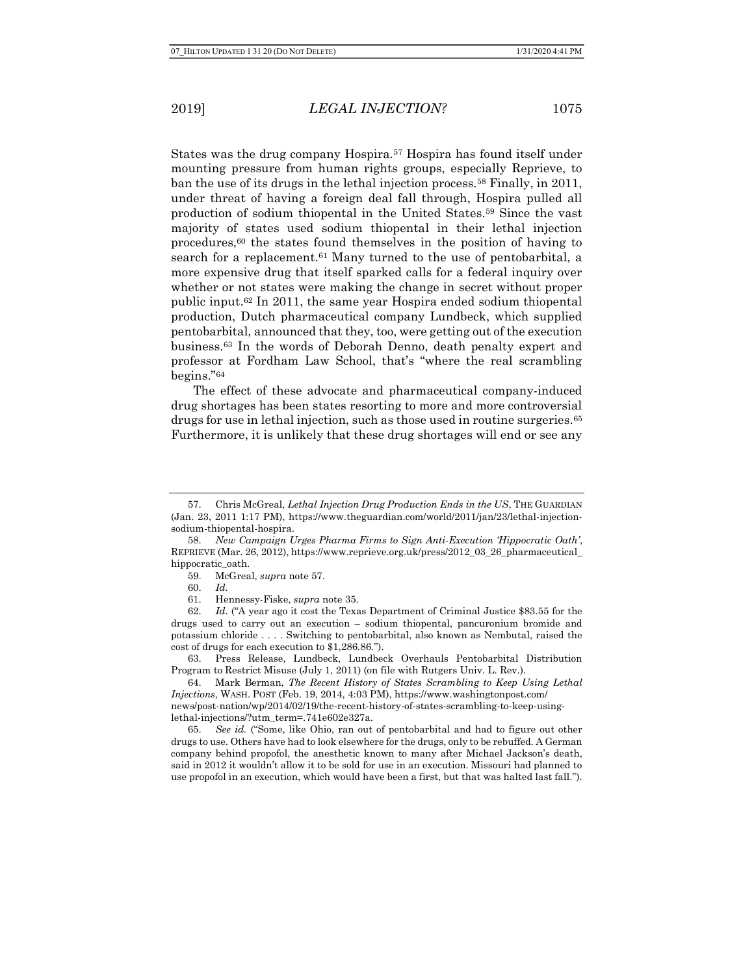States was the drug company Hospira.57 Hospira has found itself under mounting pressure from human rights groups, especially Reprieve, to ban the use of its drugs in the lethal injection process.58 Finally, in 2011, under threat of having a foreign deal fall through, Hospira pulled all production of sodium thiopental in the United States.59 Since the vast majority of states used sodium thiopental in their lethal injection procedures,60 the states found themselves in the position of having to search for a replacement.<sup>61</sup> Many turned to the use of pentobarbital, a more expensive drug that itself sparked calls for a federal inquiry over whether or not states were making the change in secret without proper public input.62 In 2011, the same year Hospira ended sodium thiopental production, Dutch pharmaceutical company Lundbeck, which supplied pentobarbital, announced that they, too, were getting out of the execution business.63 In the words of Deborah Denno, death penalty expert and professor at Fordham Law School, that's "where the real scrambling begins."<sup>64</sup>

The effect of these advocate and pharmaceutical company-induced drug shortages has been states resorting to more and more controversial drugs for use in lethal injection, such as those used in routine surgeries.<sup>65</sup> Furthermore, it is unlikely that these drug shortages will end or see any

<sup>57.</sup> Chris McGreal, Lethal Injection Drug Production Ends in the US, THE GUARDIAN (Jan. 23, 2011 1:17 PM), https://www.theguardian.com/world/2011/jan/23/lethal-injectionsodium-thiopental-hospira.

<sup>58.</sup> New Campaign Urges Pharma Firms to Sign Anti-Execution 'Hippocratic Oath', REPRIEVE (Mar. 26, 2012), https://www.reprieve.org.uk/press/2012\_03\_26\_pharmaceutical\_ hippocratic\_oath.

<sup>59.</sup> McGreal, supra note 57.

<sup>60.</sup> Id.

<sup>61.</sup> Hennessy-Fiske, supra note 35.

<sup>62.</sup> Id. ("A year ago it cost the Texas Department of Criminal Justice \$83.55 for the drugs used to carry out an execution – sodium thiopental, pancuronium bromide and potassium chloride . . . . Switching to pentobarbital, also known as Nembutal, raised the cost of drugs for each execution to \$1,286.86.").

<sup>63.</sup> Press Release, Lundbeck, Lundbeck Overhauls Pentobarbital Distribution Program to Restrict Misuse (July 1, 2011) (on file with Rutgers Univ. L. Rev.).

<sup>64.</sup> Mark Berman, The Recent History of States Scrambling to Keep Using Lethal Injections, WASH. POST (Feb. 19, 2014, 4:03 PM), https://www.washingtonpost.com/ news/post-nation/wp/2014/02/19/the-recent-history-of-states-scrambling-to-keep-usinglethal-injections/?utm\_term=.741e602e327a.

<sup>65.</sup> See id. ("Some, like Ohio, ran out of pentobarbital and had to figure out other drugs to use. Others have had to look elsewhere for the drugs, only to be rebuffed. A German company behind propofol, the anesthetic known to many after Michael Jackson's death, said in 2012 it wouldn't allow it to be sold for use in an execution. Missouri had planned to use propofol in an execution, which would have been a first, but that was halted last fall.").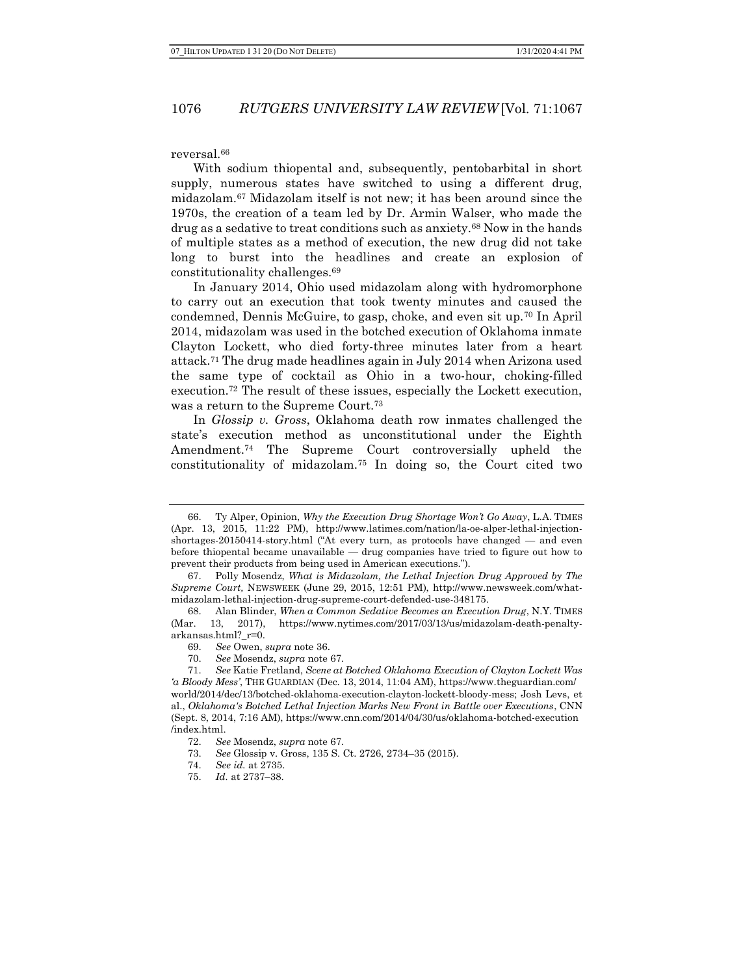reversal.<sup>66</sup>

With sodium thiopental and, subsequently, pentobarbital in short supply, numerous states have switched to using a different drug, midazolam.67 Midazolam itself is not new; it has been around since the 1970s, the creation of a team led by Dr. Armin Walser, who made the drug as a sedative to treat conditions such as anxiety.68 Now in the hands of multiple states as a method of execution, the new drug did not take long to burst into the headlines and create an explosion of constitutionality challenges.<sup>69</sup>

In January 2014, Ohio used midazolam along with hydromorphone to carry out an execution that took twenty minutes and caused the condemned, Dennis McGuire, to gasp, choke, and even sit up.70 In April 2014, midazolam was used in the botched execution of Oklahoma inmate Clayton Lockett, who died forty-three minutes later from a heart attack.71 The drug made headlines again in July 2014 when Arizona used the same type of cocktail as Ohio in a two-hour, choking-filled execution.72 The result of these issues, especially the Lockett execution, was a return to the Supreme Court.<sup>73</sup>

In Glossip v. Gross, Oklahoma death row inmates challenged the state's execution method as unconstitutional under the Eighth Amendment.74 The Supreme Court controversially upheld the constitutionality of midazolam.75 In doing so, the Court cited two

<sup>66.</sup> Ty Alper, Opinion, Why the Execution Drug Shortage Won't Go Away, L.A. TIMES (Apr. 13, 2015, 11:22 PM), http://www.latimes.com/nation/la-oe-alper-lethal-injectionshortages-20150414-story.html ("At every turn, as protocols have changed — and even before thiopental became unavailable — drug companies have tried to figure out how to prevent their products from being used in American executions.").

<sup>67.</sup> Polly Mosendz, What is Midazolam, the Lethal Injection Drug Approved by The Supreme Court, NEWSWEEK (June 29, 2015, 12:51 PM), http://www.newsweek.com/whatmidazolam-lethal-injection-drug-supreme-court-defended-use-348175.

<sup>68.</sup> Alan Blinder, When a Common Sedative Becomes an Execution Drug, N.Y. TIMES (Mar. 13, 2017), https://www.nytimes.com/2017/03/13/us/midazolam-death-penaltyarkansas.html?\_r=0.

<sup>69.</sup> See Owen, supra note 36.

<sup>70.</sup> See Mosendz, supra note 67.

<sup>71.</sup> See Katie Fretland, Scene at Botched Oklahoma Execution of Clayton Lockett Was 'a Bloody Mess', THE GUARDIAN (Dec. 13, 2014, 11:04 AM), https://www.theguardian.com/ world/2014/dec/13/botched-oklahoma-execution-clayton-lockett-bloody-mess; Josh Levs, et al., Oklahoma's Botched Lethal Injection Marks New Front in Battle over Executions, CNN (Sept. 8, 2014, 7:16 AM), https://www.cnn.com/2014/04/30/us/oklahoma-botched-execution /index.html.

<sup>72.</sup> See Mosendz, supra note 67.

<sup>73.</sup> See Glossip v. Gross, 135 S. Ct. 2726, 2734–35 (2015).

<sup>74.</sup> See id. at 2735.

<sup>75.</sup> Id. at 2737–38.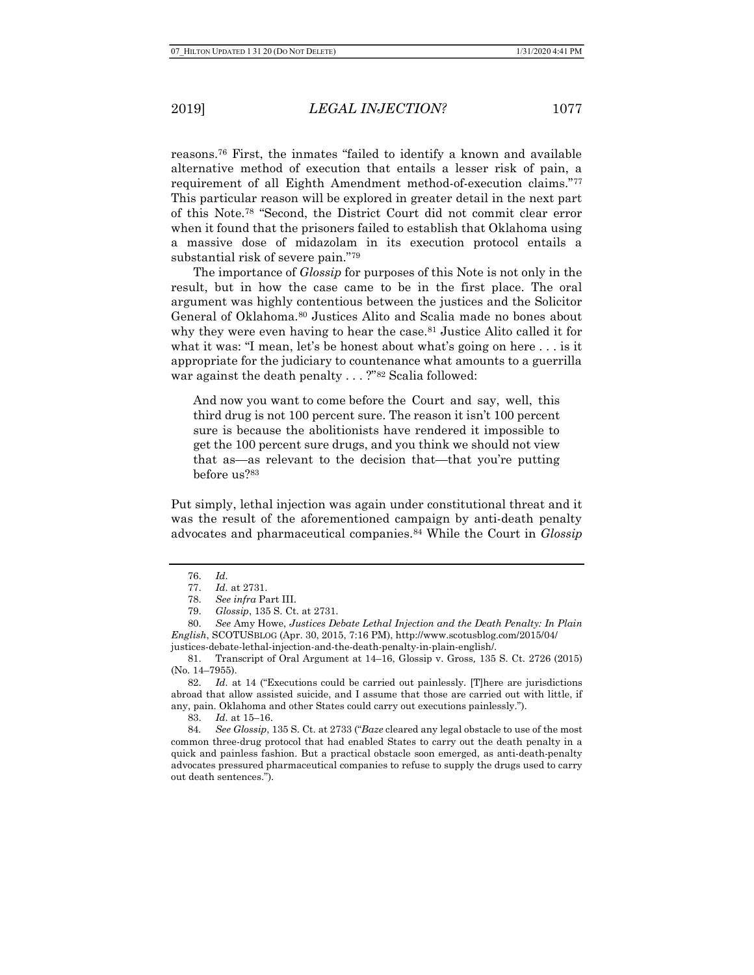reasons.76 First, the inmates "failed to identify a known and available alternative method of execution that entails a lesser risk of pain, a requirement of all Eighth Amendment method-of-execution claims."<sup>77</sup> This particular reason will be explored in greater detail in the next part of this Note.78 "Second, the District Court did not commit clear error when it found that the prisoners failed to establish that Oklahoma using a massive dose of midazolam in its execution protocol entails a substantial risk of severe pain."<sup>79</sup>

The importance of Glossip for purposes of this Note is not only in the result, but in how the case came to be in the first place. The oral argument was highly contentious between the justices and the Solicitor General of Oklahoma.80 Justices Alito and Scalia made no bones about why they were even having to hear the case.<sup>81</sup> Justice Alito called it for what it was: "I mean, let's be honest about what's going on here . . . is it appropriate for the judiciary to countenance what amounts to a guerrilla war against the death penalty . . . ?"<sup>82</sup> Scalia followed:

And now you want to come before the Court and say, well, this third drug is not 100 percent sure. The reason it isn't 100 percent sure is because the abolitionists have rendered it impossible to get the 100 percent sure drugs, and you think we should not view that as—as relevant to the decision that—that you're putting before us?<sup>83</sup>

Put simply, lethal injection was again under constitutional threat and it was the result of the aforementioned campaign by anti-death penalty advocates and pharmaceutical companies.<sup>84</sup> While the Court in Glossip

82. Id. at 14 ("Executions could be carried out painlessly. [T]here are jurisdictions abroad that allow assisted suicide, and I assume that those are carried out with little, if any, pain. Oklahoma and other States could carry out executions painlessly.").

83. Id. at 15–16.

84. See Glossip, 135 S. Ct. at 2733 ("Baze cleared any legal obstacle to use of the most common three-drug protocol that had enabled States to carry out the death penalty in a quick and painless fashion. But a practical obstacle soon emerged, as anti-death-penalty advocates pressured pharmaceutical companies to refuse to supply the drugs used to carry out death sentences.").

<sup>76.</sup> Id.

<sup>77.</sup> Id. at 2731.

<sup>78.</sup> See infra Part III.

<sup>79.</sup> Glossip, 135 S. Ct. at 2731.

<sup>80.</sup> See Amy Howe, Justices Debate Lethal Injection and the Death Penalty: In Plain English, SCOTUSBLOG (Apr. 30, 2015, 7:16 PM), http://www.scotusblog.com/2015/04/ justices-debate-lethal-injection-and-the-death-penalty-in-plain-english/.

<sup>81.</sup> Transcript of Oral Argument at 14–16, Glossip v. Gross, 135 S. Ct. 2726 (2015) (No. 14–7955).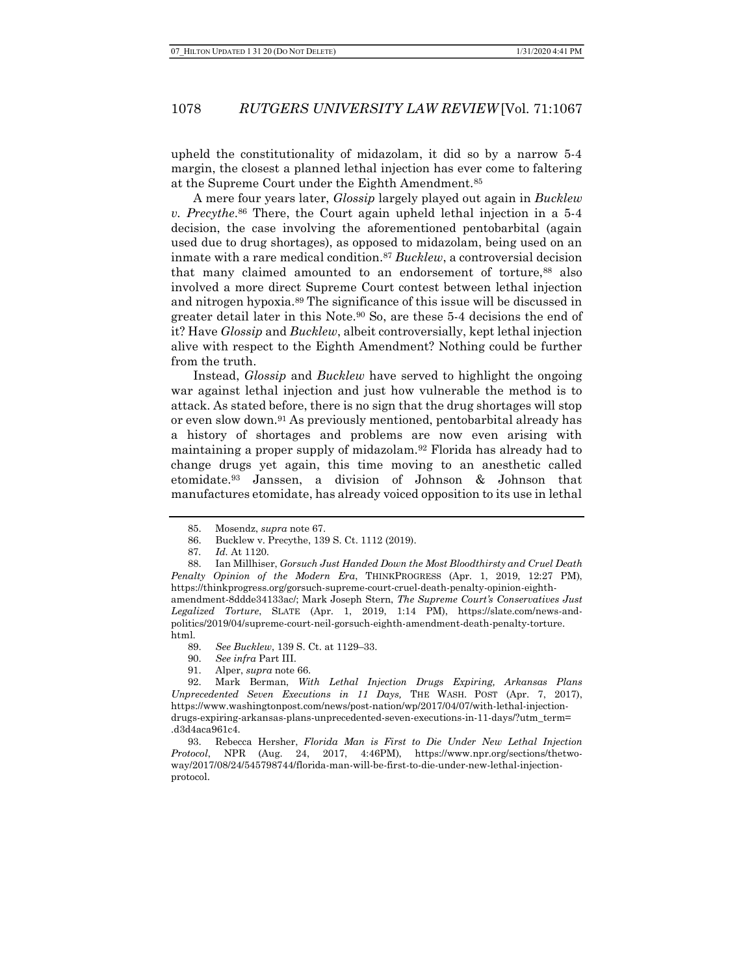upheld the constitutionality of midazolam, it did so by a narrow 5-4 margin, the closest a planned lethal injection has ever come to faltering at the Supreme Court under the Eighth Amendment.<sup>85</sup>

A mere four years later, *Glossip* largely played out again in *Bucklew* v. Precythe. <sup>86</sup> There, the Court again upheld lethal injection in a 5-4 decision, the case involving the aforementioned pentobarbital (again used due to drug shortages), as opposed to midazolam, being used on an inmate with a rare medical condition.<sup>87</sup> Bucklew, a controversial decision that many claimed amounted to an endorsement of torture,<sup>88</sup> also involved a more direct Supreme Court contest between lethal injection and nitrogen hypoxia.89 The significance of this issue will be discussed in greater detail later in this Note.90 So, are these 5-4 decisions the end of it? Have Glossip and Bucklew, albeit controversially, kept lethal injection alive with respect to the Eighth Amendment? Nothing could be further from the truth.

Instead, *Glossip* and *Bucklew* have served to highlight the ongoing war against lethal injection and just how vulnerable the method is to attack. As stated before, there is no sign that the drug shortages will stop or even slow down.91 As previously mentioned, pentobarbital already has a history of shortages and problems are now even arising with maintaining a proper supply of midazolam.92 Florida has already had to change drugs yet again, this time moving to an anesthetic called etomidate.93 Janssen, a division of Johnson & Johnson that manufactures etomidate, has already voiced opposition to its use in lethal

<sup>85.</sup> Mosendz, supra note 67.

<sup>86.</sup> Bucklew v. Precythe, 139 S. Ct. 1112 (2019).

<sup>87</sup>. Id. At 1120.

<sup>88.</sup> Ian Millhiser, Gorsuch Just Handed Down the Most Bloodthirsty and Cruel Death Penalty Opinion of the Modern Era, THINKPROGRESS (Apr. 1, 2019, 12:27 PM), https://thinkprogress.org/gorsuch-supreme-court-cruel-death-penalty-opinion-eighthamendment-8ddde34133ac/; Mark Joseph Stern, The Supreme Court's Conservatives Just Legalized Torture, SLATE (Apr. 1, 2019, 1:14 PM), https://slate.com/news-andpolitics/2019/04/supreme-court-neil-gorsuch-eighth-amendment-death-penalty-torture. html.

<sup>89.</sup> See Bucklew, 139 S. Ct. at 1129–33.

<sup>90.</sup> See infra Part III.

<sup>91.</sup> Alper, supra note 66.

<sup>92.</sup> Mark Berman, With Lethal Injection Drugs Expiring, Arkansas Plans Unprecedented Seven Executions in 11 Days, THE WASH. POST (Apr. 7, 2017), https://www.washingtonpost.com/news/post-nation/wp/2017/04/07/with-lethal-injectiondrugs-expiring-arkansas-plans-unprecedented-seven-executions-in-11-days/?utm\_term= .d3d4aca961c4.

<sup>93.</sup> Rebecca Hersher, Florida Man is First to Die Under New Lethal Injection Protocol, NPR (Aug. 24, 2017, 4:46PM), https://www.npr.org/sections/thetwoway/2017/08/24/545798744/florida-man-will-be-first-to-die-under-new-lethal-injectionprotocol.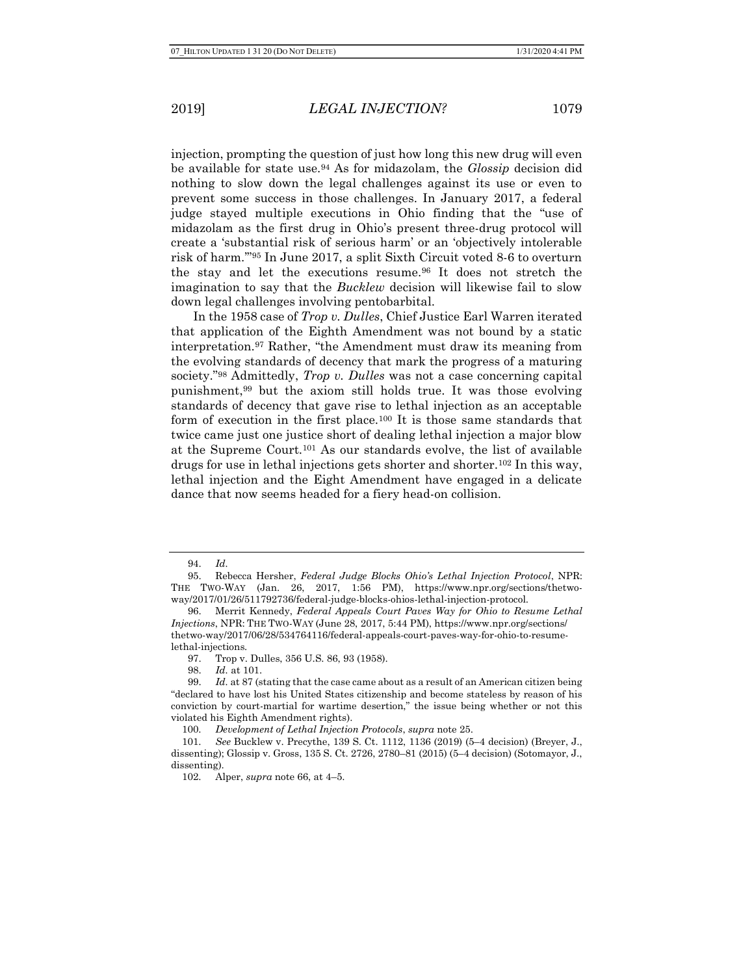injection, prompting the question of just how long this new drug will even be available for state use.94 As for midazolam, the Glossip decision did nothing to slow down the legal challenges against its use or even to prevent some success in those challenges. In January 2017, a federal judge stayed multiple executions in Ohio finding that the "use of midazolam as the first drug in Ohio's present three-drug protocol will create a 'substantial risk of serious harm' or an 'objectively intolerable risk of harm.'"95 In June 2017, a split Sixth Circuit voted 8-6 to overturn the stay and let the executions resume.<sup>96</sup> It does not stretch the imagination to say that the *Bucklew* decision will likewise fail to slow down legal challenges involving pentobarbital.

In the 1958 case of Trop v. Dulles, Chief Justice Earl Warren iterated that application of the Eighth Amendment was not bound by a static interpretation.97 Rather, "the Amendment must draw its meaning from the evolving standards of decency that mark the progress of a maturing society."98 Admittedly, Trop v. Dulles was not a case concerning capital punishment,99 but the axiom still holds true. It was those evolving standards of decency that gave rise to lethal injection as an acceptable form of execution in the first place.100 It is those same standards that twice came just one justice short of dealing lethal injection a major blow at the Supreme Court.101 As our standards evolve, the list of available drugs for use in lethal injections gets shorter and shorter.102 In this way, lethal injection and the Eight Amendment have engaged in a delicate dance that now seems headed for a fiery head-on collision.

<sup>94.</sup> Id.

<sup>95.</sup> Rebecca Hersher, Federal Judge Blocks Ohio's Lethal Injection Protocol, NPR: THE TWO-WAY (Jan. 26, 2017, 1:56 PM), https://www.npr.org/sections/thetwoway/2017/01/26/511792736/federal-judge-blocks-ohios-lethal-injection-protocol.

<sup>96.</sup> Merrit Kennedy, Federal Appeals Court Paves Way for Ohio to Resume Lethal Injections, NPR: THE TWO-WAY (June 28, 2017, 5:44 PM), https://www.npr.org/sections/ thetwo-way/2017/06/28/534764116/federal-appeals-court-paves-way-for-ohio-to-resumelethal-injections.

<sup>97.</sup> Trop v. Dulles, 356 U.S. 86, 93 (1958).

<sup>98.</sup> Id. at 101.

<sup>99.</sup> Id. at 87 (stating that the case came about as a result of an American citizen being "declared to have lost his United States citizenship and become stateless by reason of his conviction by court-martial for wartime desertion," the issue being whether or not this violated his Eighth Amendment rights).

<sup>100.</sup> Development of Lethal Injection Protocols, supra note 25.

<sup>101.</sup> See Bucklew v. Precythe, 139 S. Ct. 1112, 1136 (2019) (5–4 decision) (Breyer, J., dissenting); Glossip v. Gross, 135 S. Ct. 2726, 2780–81 (2015) (5–4 decision) (Sotomayor, J., dissenting).

<sup>102.</sup> Alper, supra note 66, at 4–5.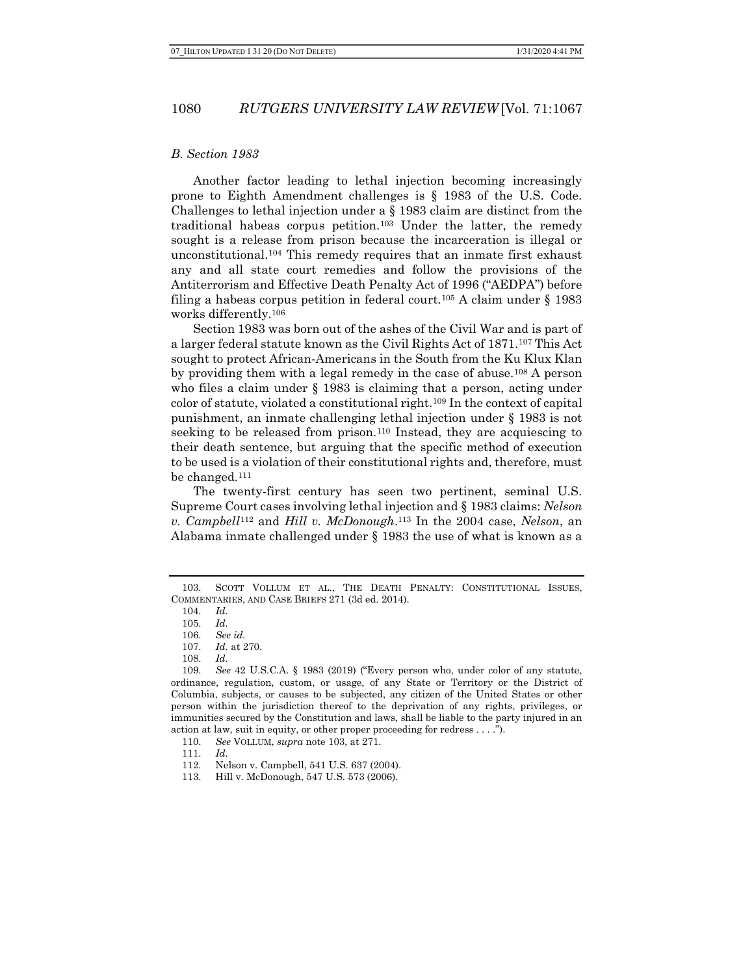#### B. Section 1983

Another factor leading to lethal injection becoming increasingly prone to Eighth Amendment challenges is § 1983 of the U.S. Code. Challenges to lethal injection under a § 1983 claim are distinct from the traditional habeas corpus petition.103 Under the latter, the remedy sought is a release from prison because the incarceration is illegal or unconstitutional.104 This remedy requires that an inmate first exhaust any and all state court remedies and follow the provisions of the Antiterrorism and Effective Death Penalty Act of 1996 ("AEDPA") before filing a habeas corpus petition in federal court.<sup>105</sup> A claim under  $\S$  1983 works differently.<sup>106</sup>

Section 1983 was born out of the ashes of the Civil War and is part of a larger federal statute known as the Civil Rights Act of 1871.107 This Act sought to protect African-Americans in the South from the Ku Klux Klan by providing them with a legal remedy in the case of abuse.108 A person who files a claim under  $\S$  1983 is claiming that a person, acting under color of statute, violated a constitutional right.109 In the context of capital punishment, an inmate challenging lethal injection under § 1983 is not seeking to be released from prison.<sup>110</sup> Instead, they are acquiescing to their death sentence, but arguing that the specific method of execution to be used is a violation of their constitutional rights and, therefore, must be changed.<sup>111</sup>

The twenty-first century has seen two pertinent, seminal U.S. Supreme Court cases involving lethal injection and § 1983 claims: Nelson v. Campbell<sup>112</sup> and Hill v. McDonough.<sup>113</sup> In the 2004 case, Nelson, an Alabama inmate challenged under § 1983 the use of what is known as a

<sup>103.</sup> SCOTT VOLLUM ET AL., THE DEATH PENALTY: CONSTITUTIONAL ISSUES, COMMENTARIES, AND CASE BRIEFS 271 (3d ed. 2014).

<sup>104.</sup> Id.

<sup>105.</sup> Id.

<sup>106.</sup> See id.

<sup>107.</sup> Id. at 270.

<sup>108.</sup> Id.

<sup>109.</sup> See 42 U.S.C.A. § 1983 (2019) ("Every person who, under color of any statute, ordinance, regulation, custom, or usage, of any State or Territory or the District of Columbia, subjects, or causes to be subjected, any citizen of the United States or other person within the jurisdiction thereof to the deprivation of any rights, privileges, or immunities secured by the Constitution and laws, shall be liable to the party injured in an action at law, suit in equity, or other proper proceeding for redress . . . .").

<sup>110.</sup> See VOLLUM, supra note 103, at 271.

<sup>111.</sup> Id.

<sup>112.</sup> Nelson v. Campbell, 541 U.S. 637 (2004).

<sup>113.</sup> Hill v. McDonough, 547 U.S. 573 (2006).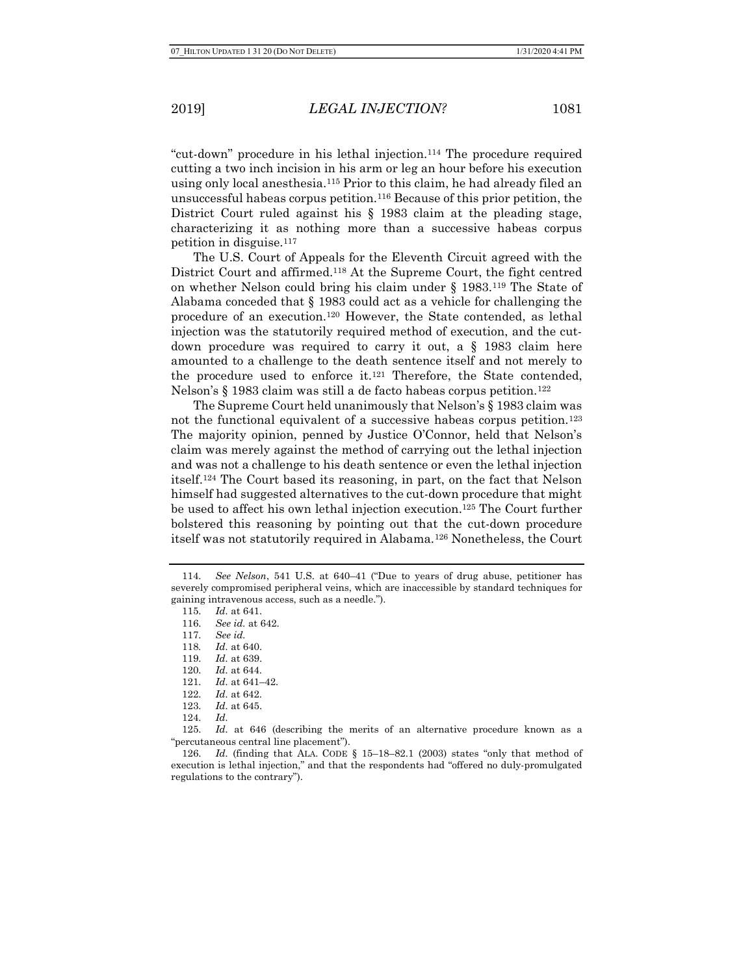"cut-down" procedure in his lethal injection.114 The procedure required cutting a two inch incision in his arm or leg an hour before his execution using only local anesthesia.115 Prior to this claim, he had already filed an unsuccessful habeas corpus petition.116 Because of this prior petition, the District Court ruled against his § 1983 claim at the pleading stage, characterizing it as nothing more than a successive habeas corpus petition in disguise.<sup>117</sup>

The U.S. Court of Appeals for the Eleventh Circuit agreed with the District Court and affirmed.118 At the Supreme Court, the fight centred on whether Nelson could bring his claim under § 1983.119 The State of Alabama conceded that § 1983 could act as a vehicle for challenging the procedure of an execution.120 However, the State contended, as lethal injection was the statutorily required method of execution, and the cutdown procedure was required to carry it out, a § 1983 claim here amounted to a challenge to the death sentence itself and not merely to the procedure used to enforce it.121 Therefore, the State contended, Nelson's § 1983 claim was still a de facto habeas corpus petition.<sup>122</sup>

The Supreme Court held unanimously that Nelson's § 1983 claim was not the functional equivalent of a successive habeas corpus petition.<sup>123</sup> The majority opinion, penned by Justice O'Connor, held that Nelson's claim was merely against the method of carrying out the lethal injection and was not a challenge to his death sentence or even the lethal injection itself.124 The Court based its reasoning, in part, on the fact that Nelson himself had suggested alternatives to the cut-down procedure that might be used to affect his own lethal injection execution.125 The Court further bolstered this reasoning by pointing out that the cut-down procedure itself was not statutorily required in Alabama.126 Nonetheless, the Court

<sup>114.</sup> See Nelson, 541 U.S. at 640–41 ("Due to years of drug abuse, petitioner has severely compromised peripheral veins, which are inaccessible by standard techniques for gaining intravenous access, such as a needle.").

<sup>115.</sup> Id. at 641.

<sup>116.</sup> See id. at 642.

<sup>117.</sup> See id.

<sup>118</sup>. Id. at 640.

<sup>119.</sup> Id. at 639.

<sup>120.</sup> Id. at 644.

<sup>121.</sup> Id. at 641–42.

<sup>122.</sup> Id. at 642.

<sup>123.</sup> Id. at 645.

<sup>124.</sup> Id.

<sup>125.</sup> Id. at 646 (describing the merits of an alternative procedure known as a "percutaneous central line placement").

<sup>126.</sup> Id. (finding that ALA. CODE § 15–18–82.1 (2003) states "only that method of execution is lethal injection," and that the respondents had "offered no duly-promulgated regulations to the contrary").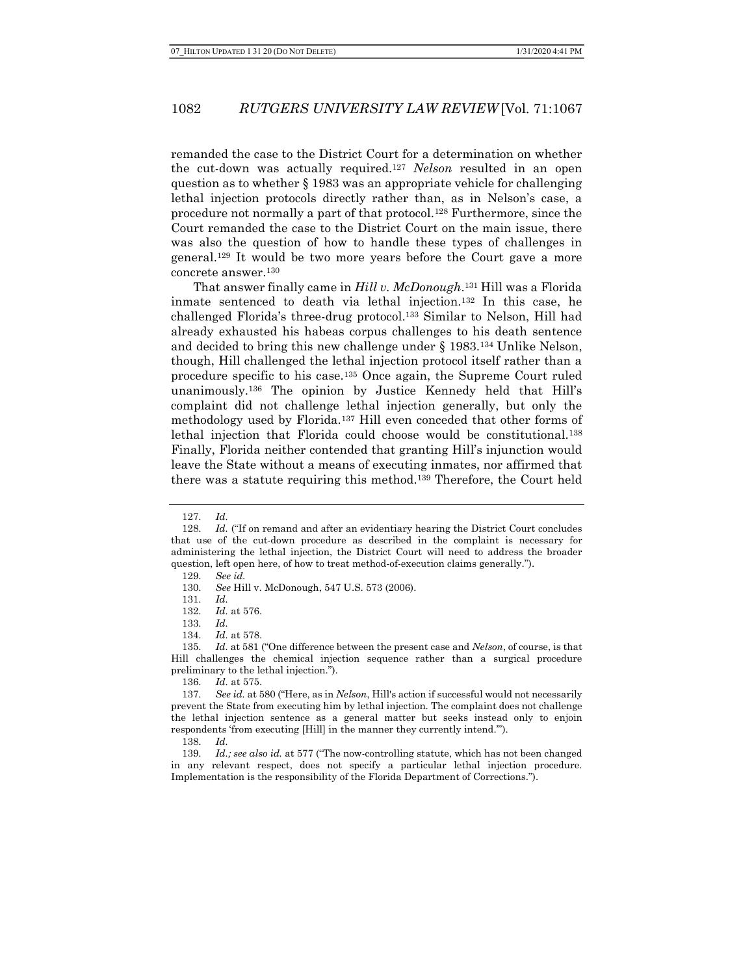remanded the case to the District Court for a determination on whether the cut-down was actually required.<sup>127</sup> Nelson resulted in an open question as to whether § 1983 was an appropriate vehicle for challenging lethal injection protocols directly rather than, as in Nelson's case, a procedure not normally a part of that protocol.128 Furthermore, since the Court remanded the case to the District Court on the main issue, there was also the question of how to handle these types of challenges in general.129 It would be two more years before the Court gave a more concrete answer.<sup>130</sup>

That answer finally came in Hill v. McDonough.<sup>131</sup> Hill was a Florida inmate sentenced to death via lethal injection.132 In this case, he challenged Florida's three-drug protocol.133 Similar to Nelson, Hill had already exhausted his habeas corpus challenges to his death sentence and decided to bring this new challenge under § 1983.134 Unlike Nelson, though, Hill challenged the lethal injection protocol itself rather than a procedure specific to his case.135 Once again, the Supreme Court ruled unanimously.136 The opinion by Justice Kennedy held that Hill's complaint did not challenge lethal injection generally, but only the methodology used by Florida.137 Hill even conceded that other forms of lethal injection that Florida could choose would be constitutional.<sup>138</sup> Finally, Florida neither contended that granting Hill's injunction would leave the State without a means of executing inmates, nor affirmed that there was a statute requiring this method.139 Therefore, the Court held

136. Id. at 575.

<sup>127.</sup> Id.

<sup>128.</sup> Id. ("If on remand and after an evidentiary hearing the District Court concludes that use of the cut-down procedure as described in the complaint is necessary for administering the lethal injection, the District Court will need to address the broader question, left open here, of how to treat method-of-execution claims generally."). 129. See id.

<sup>130.</sup> See Hill v. McDonough, 547 U.S. 573 (2006).

<sup>131.</sup> Id.

<sup>132.</sup> Id. at 576.

<sup>133.</sup> Id.

<sup>134.</sup> Id. at 578.

<sup>135.</sup> *Id.* at 581 ("One difference between the present case and *Nelson*, of course, is that Hill challenges the chemical injection sequence rather than a surgical procedure preliminary to the lethal injection.").

<sup>137.</sup> See id. at 580 ("Here, as in *Nelson*, Hill's action if successful would not necessarily prevent the State from executing him by lethal injection. The complaint does not challenge the lethal injection sentence as a general matter but seeks instead only to enjoin respondents 'from executing [Hill] in the manner they currently intend.'").

<sup>138.</sup> Id.

<sup>139.</sup> Id.; see also id. at 577 ("The now-controlling statute, which has not been changed in any relevant respect, does not specify a particular lethal injection procedure. Implementation is the responsibility of the Florida Department of Corrections.").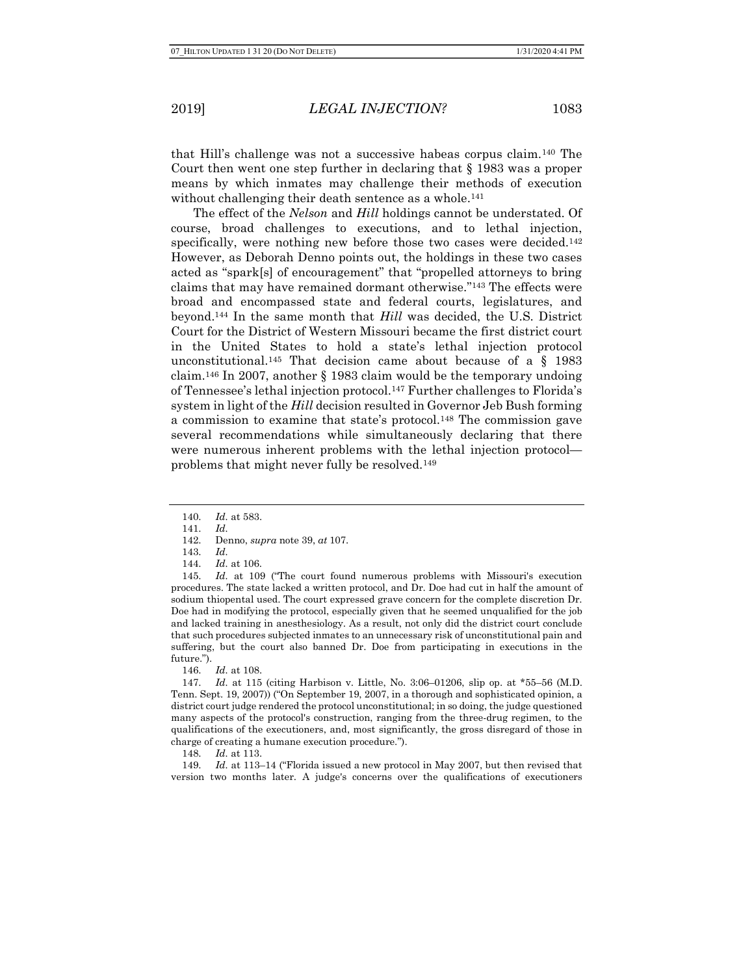that Hill's challenge was not a successive habeas corpus claim.140 The Court then went one step further in declaring that § 1983 was a proper means by which inmates may challenge their methods of execution without challenging their death sentence as a whole.<sup>141</sup>

The effect of the *Nelson* and *Hill* holdings cannot be understated. Of course, broad challenges to executions, and to lethal injection, specifically, were nothing new before those two cases were decided.<sup>142</sup> However, as Deborah Denno points out, the holdings in these two cases acted as "spark[s] of encouragement" that "propelled attorneys to bring claims that may have remained dormant otherwise."143 The effects were broad and encompassed state and federal courts, legislatures, and beyond.144 In the same month that Hill was decided, the U.S. District Court for the District of Western Missouri became the first district court in the United States to hold a state's lethal injection protocol unconstitutional.<sup>145</sup> That decision came about because of a  $\S$  1983 claim.146 In 2007, another § 1983 claim would be the temporary undoing of Tennessee's lethal injection protocol.147 Further challenges to Florida's system in light of the Hill decision resulted in Governor Jeb Bush forming a commission to examine that state's protocol.148 The commission gave several recommendations while simultaneously declaring that there were numerous inherent problems with the lethal injection protocol problems that might never fully be resolved.<sup>149</sup>

145. Id. at 109 ("The court found numerous problems with Missouri's execution procedures. The state lacked a written protocol, and Dr. Doe had cut in half the amount of sodium thiopental used. The court expressed grave concern for the complete discretion Dr. Doe had in modifying the protocol, especially given that he seemed unqualified for the job and lacked training in anesthesiology. As a result, not only did the district court conclude that such procedures subjected inmates to an unnecessary risk of unconstitutional pain and suffering, but the court also banned Dr. Doe from participating in executions in the future.").

146. Id. at 108.

147. Id. at 115 (citing Harbison v. Little, No. 3:06–01206, slip op. at \*55–56 (M.D. Tenn. Sept. 19, 2007)) ("On September 19, 2007, in a thorough and sophisticated opinion, a district court judge rendered the protocol unconstitutional; in so doing, the judge questioned many aspects of the protocol's construction, ranging from the three-drug regimen, to the qualifications of the executioners, and, most significantly, the gross disregard of those in charge of creating a humane execution procedure.").

148. Id. at 113.

149. Id. at 113–14 ("Florida issued a new protocol in May 2007, but then revised that version two months later. A judge's concerns over the qualifications of executioners

<sup>140.</sup> Id. at 583.

<sup>141.</sup> Id.

<sup>142.</sup> Denno, supra note 39, at 107.

<sup>143.</sup> Id.

<sup>144.</sup> Id. at 106.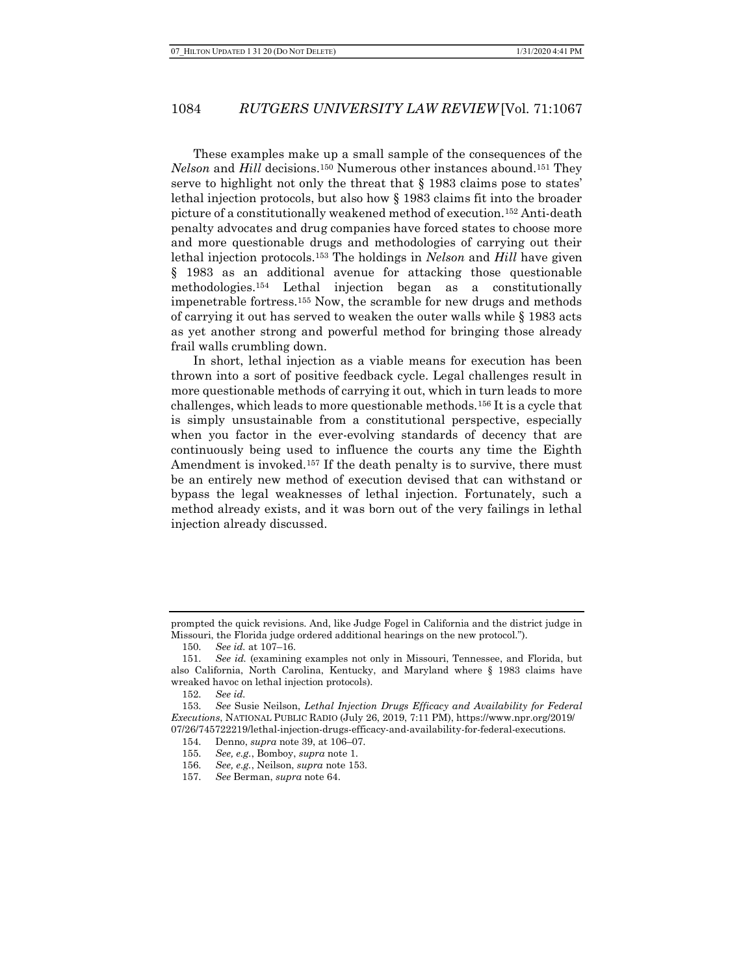These examples make up a small sample of the consequences of the Nelson and Hill decisions.150 Numerous other instances abound.151 They serve to highlight not only the threat that § 1983 claims pose to states' lethal injection protocols, but also how § 1983 claims fit into the broader picture of a constitutionally weakened method of execution.152 Anti-death penalty advocates and drug companies have forced states to choose more and more questionable drugs and methodologies of carrying out their lethal injection protocols.<sup>153</sup> The holdings in *Nelson* and *Hill* have given § 1983 as an additional avenue for attacking those questionable methodologies.154 Lethal injection began as a constitutionally impenetrable fortress.155 Now, the scramble for new drugs and methods of carrying it out has served to weaken the outer walls while § 1983 acts as yet another strong and powerful method for bringing those already frail walls crumbling down.

In short, lethal injection as a viable means for execution has been thrown into a sort of positive feedback cycle. Legal challenges result in more questionable methods of carrying it out, which in turn leads to more challenges, which leads to more questionable methods.156 It is a cycle that is simply unsustainable from a constitutional perspective, especially when you factor in the ever-evolving standards of decency that are continuously being used to influence the courts any time the Eighth Amendment is invoked.<sup>157</sup> If the death penalty is to survive, there must be an entirely new method of execution devised that can withstand or bypass the legal weaknesses of lethal injection. Fortunately, such a method already exists, and it was born out of the very failings in lethal injection already discussed.

prompted the quick revisions. And, like Judge Fogel in California and the district judge in Missouri, the Florida judge ordered additional hearings on the new protocol.").

<sup>150.</sup> See id. at 107–16.

<sup>151.</sup> See id. (examining examples not only in Missouri, Tennessee, and Florida, but also California, North Carolina, Kentucky, and Maryland where § 1983 claims have wreaked havoc on lethal injection protocols).

<sup>152.</sup> See id.

<sup>153.</sup> See Susie Neilson, Lethal Injection Drugs Efficacy and Availability for Federal Executions, NATIONAL PUBLIC RADIO (July 26, 2019, 7:11 PM), https://www.npr.org/2019/ 07/26/745722219/lethal-injection-drugs-efficacy-and-availability-for-federal-executions.

<sup>154.</sup> Denno, supra note 39, at 106–07.

<sup>155.</sup> See, e.g., Bomboy, supra note 1.

<sup>156.</sup> See, e.g., Neilson, supra note 153.

<sup>157.</sup> See Berman, supra note 64.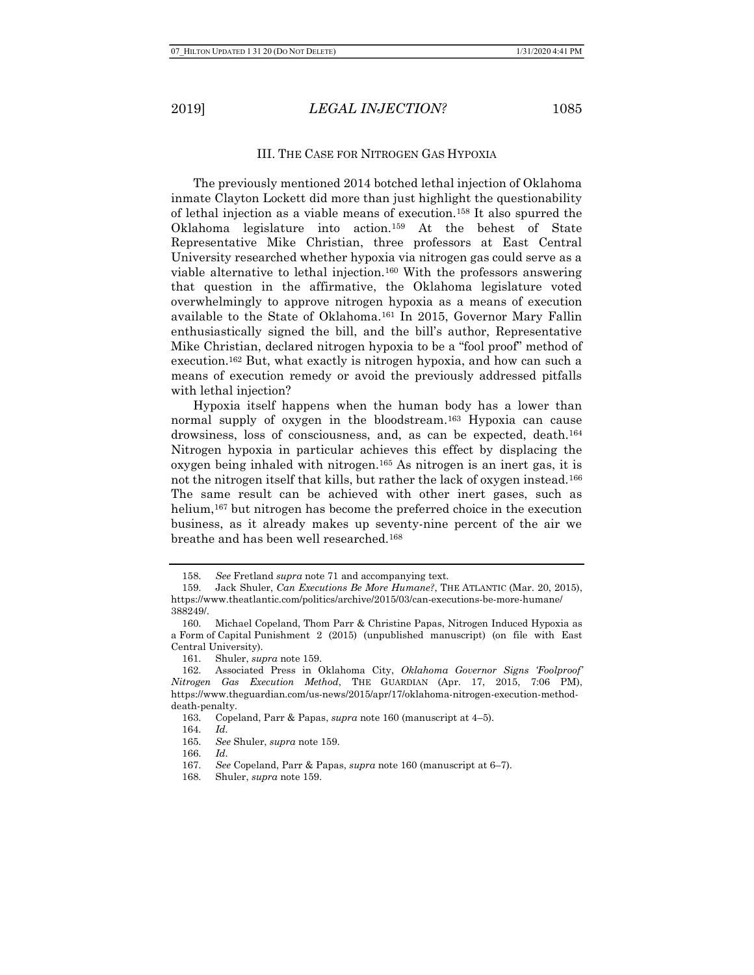#### III. THE CASE FOR NITROGEN GAS HYPOXIA

The previously mentioned 2014 botched lethal injection of Oklahoma inmate Clayton Lockett did more than just highlight the questionability of lethal injection as a viable means of execution.158 It also spurred the Oklahoma legislature into action.159 At the behest of State Representative Mike Christian, three professors at East Central University researched whether hypoxia via nitrogen gas could serve as a viable alternative to lethal injection.160 With the professors answering that question in the affirmative, the Oklahoma legislature voted overwhelmingly to approve nitrogen hypoxia as a means of execution available to the State of Oklahoma.161 In 2015, Governor Mary Fallin enthusiastically signed the bill, and the bill's author, Representative Mike Christian, declared nitrogen hypoxia to be a "fool proof" method of execution.162 But, what exactly is nitrogen hypoxia, and how can such a means of execution remedy or avoid the previously addressed pitfalls with lethal injection?

Hypoxia itself happens when the human body has a lower than normal supply of oxygen in the bloodstream.163 Hypoxia can cause drowsiness, loss of consciousness, and, as can be expected, death.<sup>164</sup> Nitrogen hypoxia in particular achieves this effect by displacing the oxygen being inhaled with nitrogen.165 As nitrogen is an inert gas, it is not the nitrogen itself that kills, but rather the lack of oxygen instead.<sup>166</sup> The same result can be achieved with other inert gases, such as helium,<sup>167</sup> but nitrogen has become the preferred choice in the execution business, as it already makes up seventy-nine percent of the air we breathe and has been well researched.<sup>168</sup>

<sup>158.</sup> See Fretland supra note 71 and accompanying text.

<sup>159.</sup> Jack Shuler, Can Executions Be More Humane?, THE ATLANTIC (Mar. 20, 2015), https://www.theatlantic.com/politics/archive/2015/03/can-executions-be-more-humane/ 388249/.

<sup>160.</sup> Michael Copeland, Thom Parr & Christine Papas, Nitrogen Induced Hypoxia as a Form of Capital Punishment 2 (2015) (unpublished manuscript) (on file with East Central University).

<sup>161.</sup> Shuler, supra note 159.

<sup>162.</sup> Associated Press in Oklahoma City, Oklahoma Governor Signs 'Foolproof' Nitrogen Gas Execution Method, THE GUARDIAN (Apr. 17, 2015, 7:06 PM), https://www.theguardian.com/us-news/2015/apr/17/oklahoma-nitrogen-execution-methoddeath-penalty.

<sup>163.</sup> Copeland, Parr & Papas, supra note 160 (manuscript at 4–5).

<sup>164.</sup> Id.

<sup>165.</sup> See Shuler, supra note 159.

<sup>166.</sup> Id.

<sup>167.</sup> See Copeland, Parr & Papas, supra note 160 (manuscript at 6–7).

<sup>168.</sup> Shuler, supra note 159.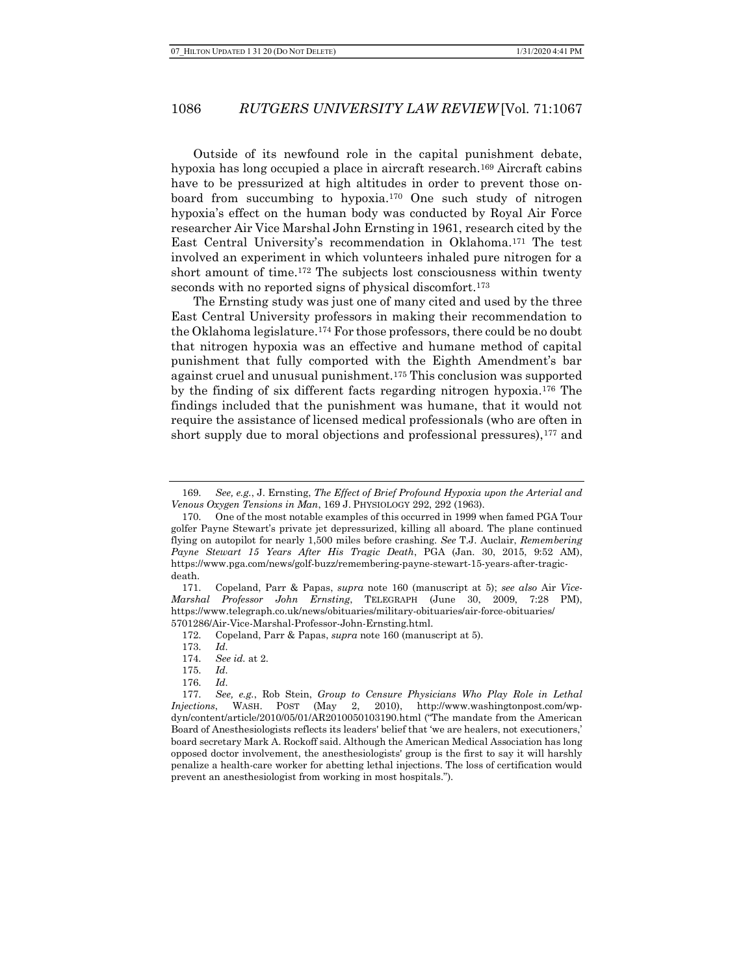Outside of its newfound role in the capital punishment debate, hypoxia has long occupied a place in aircraft research.169 Aircraft cabins have to be pressurized at high altitudes in order to prevent those onboard from succumbing to hypoxia.170 One such study of nitrogen hypoxia's effect on the human body was conducted by Royal Air Force researcher Air Vice Marshal John Ernsting in 1961, research cited by the East Central University's recommendation in Oklahoma.171 The test involved an experiment in which volunteers inhaled pure nitrogen for a short amount of time.172 The subjects lost consciousness within twenty seconds with no reported signs of physical discomfort.<sup>173</sup>

The Ernsting study was just one of many cited and used by the three East Central University professors in making their recommendation to the Oklahoma legislature.174 For those professors, there could be no doubt that nitrogen hypoxia was an effective and humane method of capital punishment that fully comported with the Eighth Amendment's bar against cruel and unusual punishment.175 This conclusion was supported by the finding of six different facts regarding nitrogen hypoxia.176 The findings included that the punishment was humane, that it would not require the assistance of licensed medical professionals (who are often in short supply due to moral objections and professional pressures), <sup>177</sup> and

173. Id.

<sup>169.</sup> See, e.g., J. Ernsting, The Effect of Brief Profound Hypoxia upon the Arterial and Venous Oxygen Tensions in Man, 169 J. PHYSIOLOGY 292, 292 (1963).

<sup>170.</sup> One of the most notable examples of this occurred in 1999 when famed PGA Tour golfer Payne Stewart's private jet depressurized, killing all aboard. The plane continued flying on autopilot for nearly 1,500 miles before crashing. See T.J. Auclair, Remembering Payne Stewart 15 Years After His Tragic Death, PGA (Jan. 30, 2015, 9:52 AM), https://www.pga.com/news/golf-buzz/remembering-payne-stewart-15-years-after-tragicdeath.

<sup>171.</sup> Copeland, Parr & Papas, supra note 160 (manuscript at 5); see also Air Vice-Marshal Professor John Ernsting, TELEGRAPH (June 30, 2009, 7:28 PM), https://www.telegraph.co.uk/news/obituaries/military-obituaries/air-force-obituaries/ 5701286/Air-Vice-Marshal-Professor-John-Ernsting.html.

<sup>172.</sup> Copeland, Parr & Papas, supra note 160 (manuscript at 5).

<sup>174.</sup> See id. at 2.

<sup>175.</sup> Id.

<sup>176.</sup> Id.

<sup>177.</sup> See, e.g., Rob Stein, Group to Censure Physicians Who Play Role in Lethal Injections, WASH. POST (May 2, 2010), http://www.washingtonpost.com/wpdyn/content/article/2010/05/01/AR2010050103190.html ("The mandate from the American Board of Anesthesiologists reflects its leaders' belief that 'we are healers, not executioners,' board secretary Mark A. Rockoff said. Although the American Medical Association has long opposed doctor involvement, the anesthesiologists' group is the first to say it will harshly penalize a health-care worker for abetting lethal injections. The loss of certification would prevent an anesthesiologist from working in most hospitals.").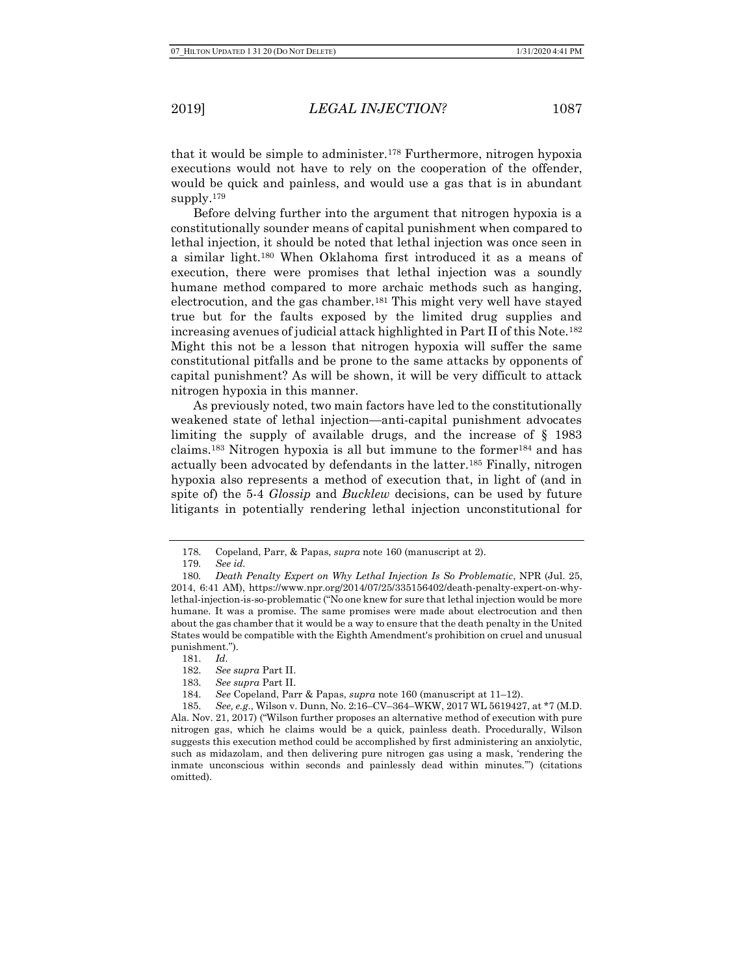that it would be simple to administer.178 Furthermore, nitrogen hypoxia executions would not have to rely on the cooperation of the offender, would be quick and painless, and would use a gas that is in abundant supply.<sup>179</sup>

Before delving further into the argument that nitrogen hypoxia is a constitutionally sounder means of capital punishment when compared to lethal injection, it should be noted that lethal injection was once seen in a similar light.180 When Oklahoma first introduced it as a means of execution, there were promises that lethal injection was a soundly humane method compared to more archaic methods such as hanging, electrocution, and the gas chamber.181 This might very well have stayed true but for the faults exposed by the limited drug supplies and increasing avenues of judicial attack highlighted in Part II of this Note.<sup>182</sup> Might this not be a lesson that nitrogen hypoxia will suffer the same constitutional pitfalls and be prone to the same attacks by opponents of capital punishment? As will be shown, it will be very difficult to attack nitrogen hypoxia in this manner.

As previously noted, two main factors have led to the constitutionally weakened state of lethal injection—anti-capital punishment advocates limiting the supply of available drugs, and the increase of § 1983 claims.183 Nitrogen hypoxia is all but immune to the former184 and has actually been advocated by defendants in the latter.185 Finally, nitrogen hypoxia also represents a method of execution that, in light of (and in spite of) the 5-4 Glossip and Bucklew decisions, can be used by future litigants in potentially rendering lethal injection unconstitutional for

<sup>178.</sup> Copeland, Parr, & Papas, supra note 160 (manuscript at 2).

<sup>179</sup>. See id.

<sup>180</sup>. Death Penalty Expert on Why Lethal Injection Is So Problematic, NPR (Jul. 25, 2014, 6:41 AM), https://www.npr.org/2014/07/25/335156402/death-penalty-expert-on-whylethal-injection-is-so-problematic ("No one knew for sure that lethal injection would be more humane. It was a promise. The same promises were made about electrocution and then about the gas chamber that it would be a way to ensure that the death penalty in the United States would be compatible with the Eighth Amendment's prohibition on cruel and unusual punishment.").

<sup>181.</sup> Id.

<sup>182.</sup> See supra Part II.

<sup>183.</sup> See supra Part II.

<sup>184.</sup> See Copeland, Parr & Papas, supra note 160 (manuscript at 11–12).

<sup>185.</sup> See, e.g., Wilson v. Dunn, No. 2:16–CV–364–WKW, 2017 WL 5619427, at \*7 (M.D. Ala. Nov. 21, 2017) ("Wilson further proposes an alternative method of execution with pure nitrogen gas, which he claims would be a quick, painless death. Procedurally, Wilson suggests this execution method could be accomplished by first administering an anxiolytic, such as midazolam, and then delivering pure nitrogen gas using a mask, 'rendering the inmate unconscious within seconds and painlessly dead within minutes.'") (citations omitted).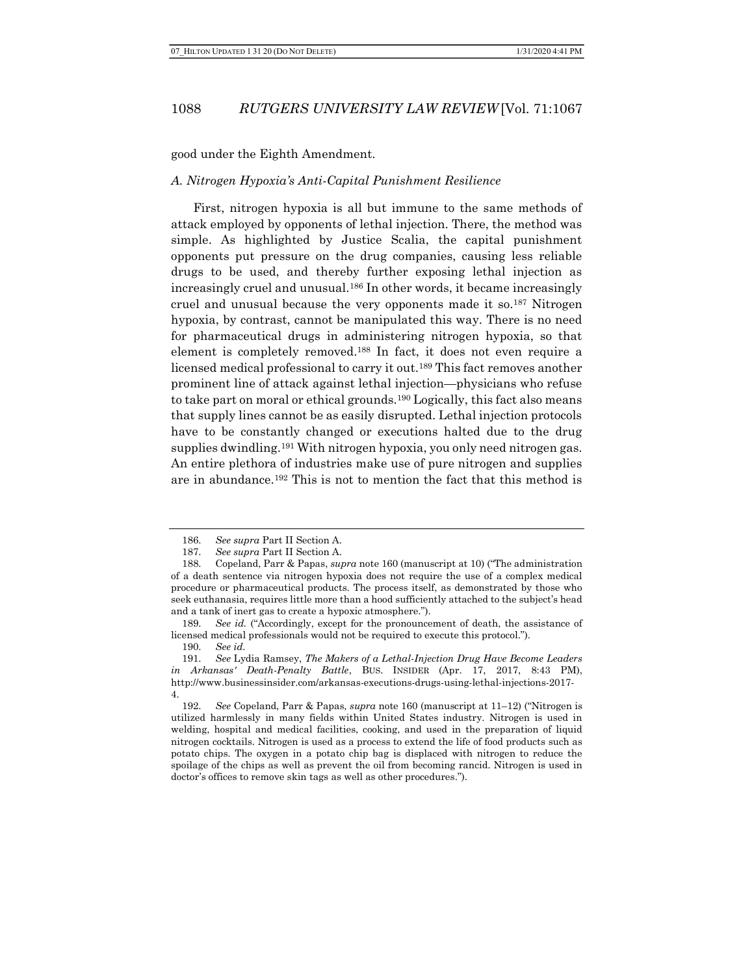good under the Eighth Amendment.

### A. Nitrogen Hypoxia's Anti-Capital Punishment Resilience

First, nitrogen hypoxia is all but immune to the same methods of attack employed by opponents of lethal injection. There, the method was simple. As highlighted by Justice Scalia, the capital punishment opponents put pressure on the drug companies, causing less reliable drugs to be used, and thereby further exposing lethal injection as increasingly cruel and unusual.186 In other words, it became increasingly cruel and unusual because the very opponents made it so.<sup>187</sup> Nitrogen hypoxia, by contrast, cannot be manipulated this way. There is no need for pharmaceutical drugs in administering nitrogen hypoxia, so that element is completely removed.188 In fact, it does not even require a licensed medical professional to carry it out.189 This fact removes another prominent line of attack against lethal injection—physicians who refuse to take part on moral or ethical grounds.190 Logically, this fact also means that supply lines cannot be as easily disrupted. Lethal injection protocols have to be constantly changed or executions halted due to the drug supplies dwindling.<sup>191</sup> With nitrogen hypoxia, you only need nitrogen gas. An entire plethora of industries make use of pure nitrogen and supplies are in abundance.192 This is not to mention the fact that this method is

<sup>186.</sup> See supra Part II Section A.

<sup>187.</sup> See supra Part II Section A.

<sup>188.</sup> Copeland, Parr & Papas, supra note 160 (manuscript at 10) ("The administration of a death sentence via nitrogen hypoxia does not require the use of a complex medical procedure or pharmaceutical products. The process itself, as demonstrated by those who seek euthanasia, requires little more than a hood sufficiently attached to the subject's head and a tank of inert gas to create a hypoxic atmosphere.").

<sup>189.</sup> See id. ("Accordingly, except for the pronouncement of death, the assistance of licensed medical professionals would not be required to execute this protocol.").

<sup>190.</sup> See id.

<sup>191.</sup> See Lydia Ramsey, The Makers of a Lethal-Injection Drug Have Become Leaders in Arkansas' Death-Penalty Battle, BUS. INSIDER (Apr. 17, 2017, 8:43 PM), http://www.businessinsider.com/arkansas-executions-drugs-using-lethal-injections-2017- 4.

<sup>192.</sup> See Copeland, Parr & Papas, supra note 160 (manuscript at 11–12) ("Nitrogen is utilized harmlessly in many fields within United States industry. Nitrogen is used in welding, hospital and medical facilities, cooking, and used in the preparation of liquid nitrogen cocktails. Nitrogen is used as a process to extend the life of food products such as potato chips. The oxygen in a potato chip bag is displaced with nitrogen to reduce the spoilage of the chips as well as prevent the oil from becoming rancid. Nitrogen is used in doctor's offices to remove skin tags as well as other procedures.").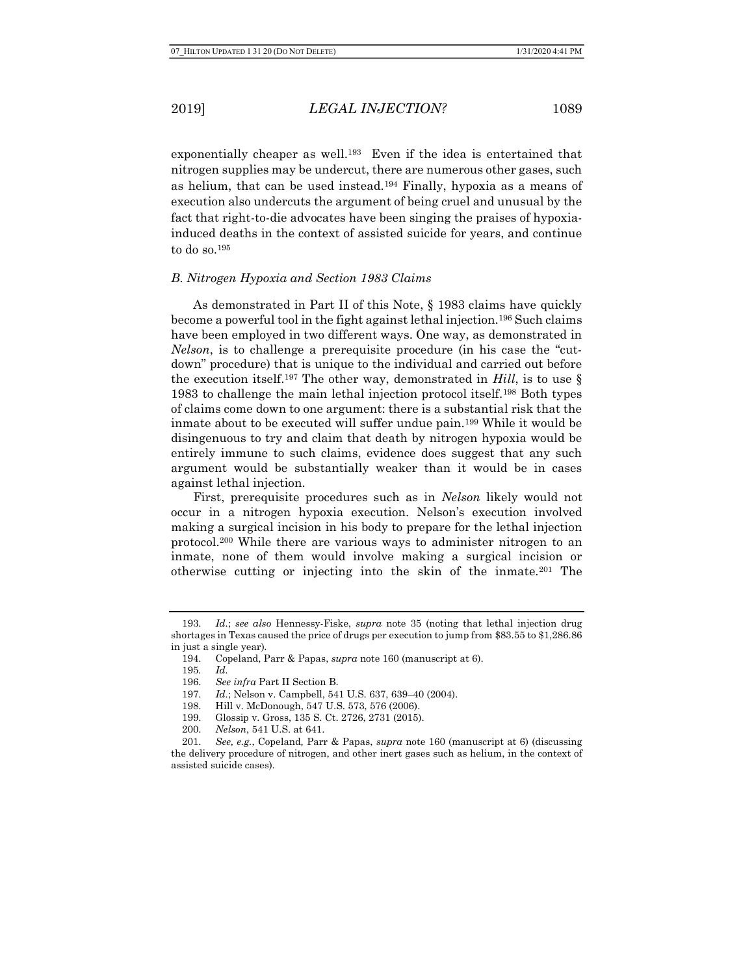exponentially cheaper as well.<sup>193</sup> Even if the idea is entertained that nitrogen supplies may be undercut, there are numerous other gases, such as helium, that can be used instead.194 Finally, hypoxia as a means of execution also undercuts the argument of being cruel and unusual by the fact that right-to-die advocates have been singing the praises of hypoxiainduced deaths in the context of assisted suicide for years, and continue to do so.<sup>195</sup>

#### B. Nitrogen Hypoxia and Section 1983 Claims

As demonstrated in Part II of this Note, § 1983 claims have quickly become a powerful tool in the fight against lethal injection.196 Such claims have been employed in two different ways. One way, as demonstrated in Nelson, is to challenge a prerequisite procedure (in his case the "cutdown" procedure) that is unique to the individual and carried out before the execution itself.<sup>197</sup> The other way, demonstrated in *Hill*, is to use  $\S$ 1983 to challenge the main lethal injection protocol itself.198 Both types of claims come down to one argument: there is a substantial risk that the inmate about to be executed will suffer undue pain.199 While it would be disingenuous to try and claim that death by nitrogen hypoxia would be entirely immune to such claims, evidence does suggest that any such argument would be substantially weaker than it would be in cases against lethal injection.

First, prerequisite procedures such as in Nelson likely would not occur in a nitrogen hypoxia execution. Nelson's execution involved making a surgical incision in his body to prepare for the lethal injection protocol.200 While there are various ways to administer nitrogen to an inmate, none of them would involve making a surgical incision or otherwise cutting or injecting into the skin of the inmate.201 The

<sup>193.</sup> Id.; see also Hennessy-Fiske, supra note 35 (noting that lethal injection drug shortages in Texas caused the price of drugs per execution to jump from \$83.55 to \$1,286.86 in just a single year).

<sup>194.</sup> Copeland, Parr & Papas, supra note 160 (manuscript at 6).

<sup>195</sup>. Id.

<sup>196.</sup> See infra Part II Section B.

<sup>197.</sup> Id.; Nelson v. Campbell, 541 U.S. 637, 639–40 (2004).

<sup>198.</sup> Hill v. McDonough, 547 U.S. 573, 576 (2006).

<sup>199.</sup> Glossip v. Gross, 135 S. Ct. 2726, 2731 (2015).

<sup>200.</sup> Nelson, 541 U.S. at 641.

<sup>201.</sup> See, e.g., Copeland, Parr & Papas, supra note 160 (manuscript at 6) (discussing the delivery procedure of nitrogen, and other inert gases such as helium, in the context of assisted suicide cases).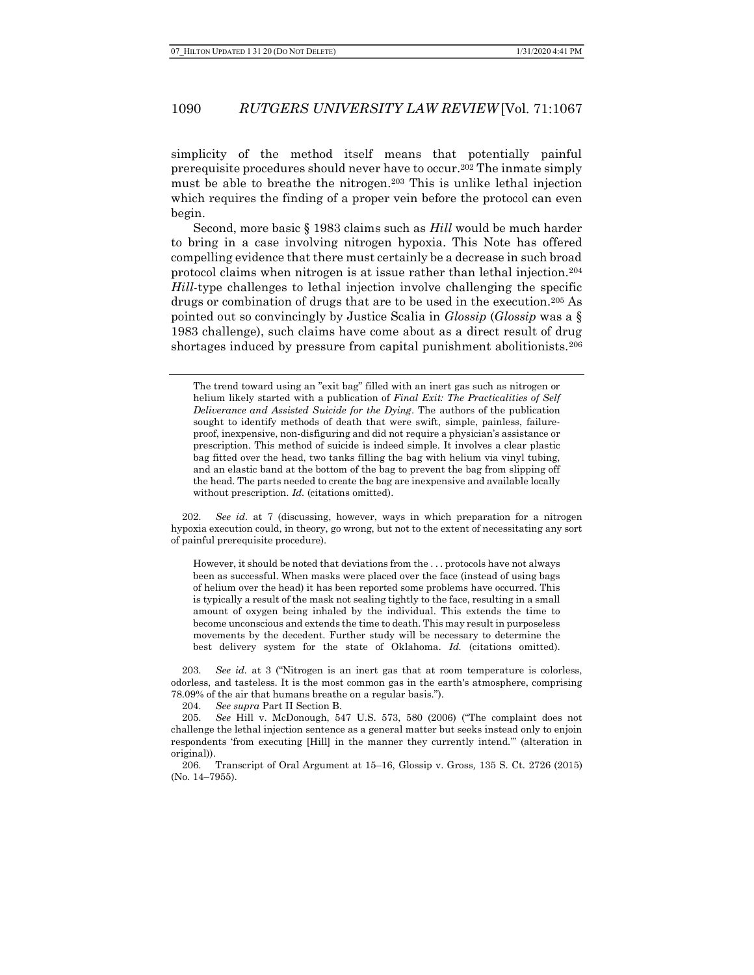simplicity of the method itself means that potentially painful prerequisite procedures should never have to occur.202 The inmate simply must be able to breathe the nitrogen.203 This is unlike lethal injection which requires the finding of a proper vein before the protocol can even begin.

Second, more basic § 1983 claims such as Hill would be much harder to bring in a case involving nitrogen hypoxia. This Note has offered compelling evidence that there must certainly be a decrease in such broad protocol claims when nitrogen is at issue rather than lethal injection.<sup>204</sup> Hill-type challenges to lethal injection involve challenging the specific drugs or combination of drugs that are to be used in the execution.205 As pointed out so convincingly by Justice Scalia in Glossip (Glossip was a § 1983 challenge), such claims have come about as a direct result of drug shortages induced by pressure from capital punishment abolitionists.<sup>206</sup>

The trend toward using an "exit bag" filled with an inert gas such as nitrogen or helium likely started with a publication of Final Exit: The Practicalities of Self Deliverance and Assisted Suicide for the Dying. The authors of the publication sought to identify methods of death that were swift, simple, painless, failureproof, inexpensive, non-disfiguring and did not require a physician's assistance or prescription. This method of suicide is indeed simple. It involves a clear plastic bag fitted over the head, two tanks filling the bag with helium via vinyl tubing, and an elastic band at the bottom of the bag to prevent the bag from slipping off the head. The parts needed to create the bag are inexpensive and available locally without prescription. Id. (citations omitted).

202. See id. at 7 (discussing, however, ways in which preparation for a nitrogen hypoxia execution could, in theory, go wrong, but not to the extent of necessitating any sort of painful prerequisite procedure).

However, it should be noted that deviations from the . . . protocols have not always been as successful. When masks were placed over the face (instead of using bags of helium over the head) it has been reported some problems have occurred. This is typically a result of the mask not sealing tightly to the face, resulting in a small amount of oxygen being inhaled by the individual. This extends the time to become unconscious and extends the time to death. This may result in purposeless movements by the decedent. Further study will be necessary to determine the best delivery system for the state of Oklahoma. Id. (citations omitted).

203. See id. at 3 ("Nitrogen is an inert gas that at room temperature is colorless, odorless, and tasteless. It is the most common gas in the earth's atmosphere, comprising 78.09% of the air that humans breathe on a regular basis.").

204. See supra Part II Section B.

205. See Hill v. McDonough, 547 U.S. 573, 580 (2006) ("The complaint does not challenge the lethal injection sentence as a general matter but seeks instead only to enjoin respondents 'from executing [Hill] in the manner they currently intend.'" (alteration in original)).

206. Transcript of Oral Argument at 15–16, Glossip v. Gross, 135 S. Ct. 2726 (2015) (No. 14–7955).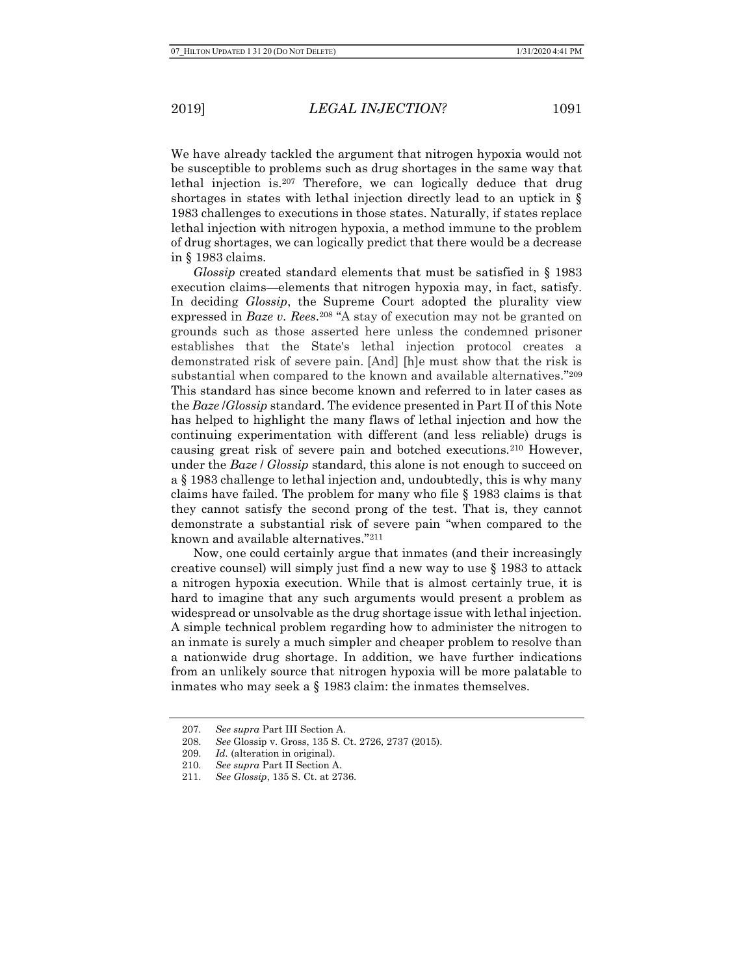We have already tackled the argument that nitrogen hypoxia would not be susceptible to problems such as drug shortages in the same way that lethal injection is.207 Therefore, we can logically deduce that drug shortages in states with lethal injection directly lead to an uptick in § 1983 challenges to executions in those states. Naturally, if states replace lethal injection with nitrogen hypoxia, a method immune to the problem of drug shortages, we can logically predict that there would be a decrease in § 1983 claims.

Glossip created standard elements that must be satisfied in § 1983 execution claims—elements that nitrogen hypoxia may, in fact, satisfy. In deciding *Glossip*, the Supreme Court adopted the plurality view expressed in *Baze v. Rees.*<sup>208</sup> "A stay of execution may not be granted on grounds such as those asserted here unless the condemned prisoner establishes that the State's lethal injection protocol creates a demonstrated risk of severe pain. [And] [h]e must show that the risk is substantial when compared to the known and available alternatives." 209 This standard has since become known and referred to in later cases as the *Baze /Glossip* standard. The evidence presented in Part II of this Note has helped to highlight the many flaws of lethal injection and how the continuing experimentation with different (and less reliable) drugs is causing great risk of severe pain and botched executions.210 However, under the Baze / Glossip standard, this alone is not enough to succeed on a § 1983 challenge to lethal injection and, undoubtedly, this is why many claims have failed. The problem for many who file § 1983 claims is that they cannot satisfy the second prong of the test. That is, they cannot demonstrate a substantial risk of severe pain "when compared to the known and available alternatives."<sup>211</sup>

Now, one could certainly argue that inmates (and their increasingly creative counsel) will simply just find a new way to use § 1983 to attack a nitrogen hypoxia execution. While that is almost certainly true, it is hard to imagine that any such arguments would present a problem as widespread or unsolvable as the drug shortage issue with lethal injection. A simple technical problem regarding how to administer the nitrogen to an inmate is surely a much simpler and cheaper problem to resolve than a nationwide drug shortage. In addition, we have further indications from an unlikely source that nitrogen hypoxia will be more palatable to inmates who may seek a § 1983 claim: the inmates themselves.

<sup>207.</sup> See supra Part III Section A.

<sup>208.</sup> See Glossip v. Gross, 135 S. Ct. 2726, 2737 (2015).

<sup>209.</sup> Id. (alteration in original).

<sup>210.</sup> See supra Part II Section A.

<sup>211.</sup> See Glossip, 135 S. Ct. at 2736.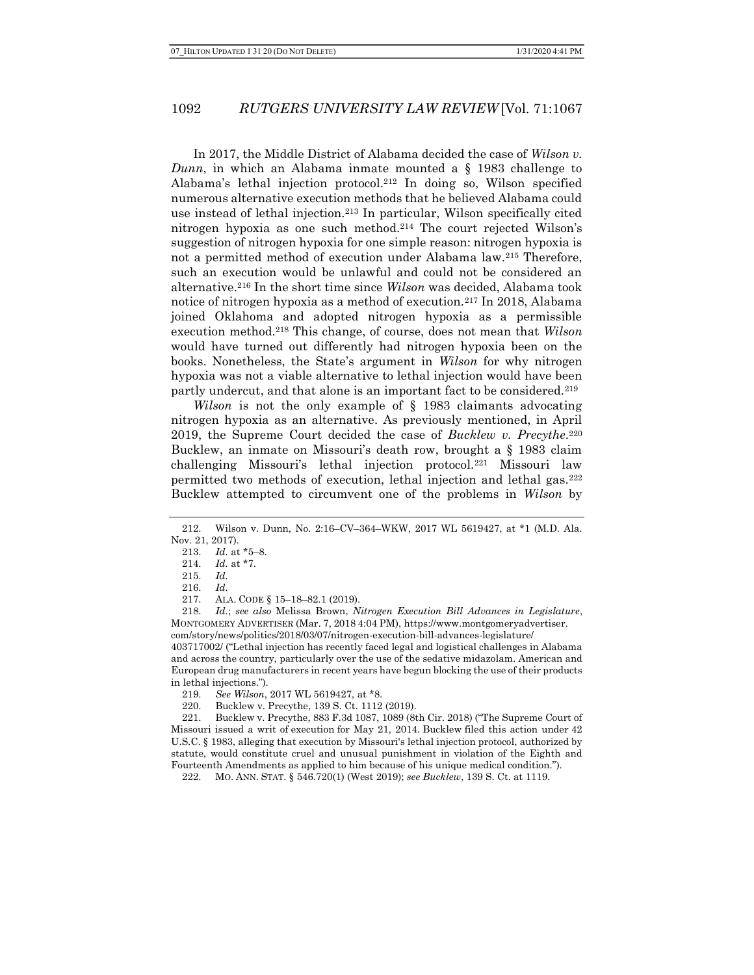In 2017, the Middle District of Alabama decided the case of Wilson v. Dunn, in which an Alabama inmate mounted a  $\S$  1983 challenge to Alabama's lethal injection protocol.212 In doing so, Wilson specified numerous alternative execution methods that he believed Alabama could use instead of lethal injection.213 In particular, Wilson specifically cited nitrogen hypoxia as one such method.214 The court rejected Wilson's suggestion of nitrogen hypoxia for one simple reason: nitrogen hypoxia is not a permitted method of execution under Alabama law.215 Therefore, such an execution would be unlawful and could not be considered an alternative.216 In the short time since Wilson was decided, Alabama took notice of nitrogen hypoxia as a method of execution.217 In 2018, Alabama joined Oklahoma and adopted nitrogen hypoxia as a permissible execution method.<sup>218</sup> This change, of course, does not mean that Wilson would have turned out differently had nitrogen hypoxia been on the books. Nonetheless, the State's argument in Wilson for why nitrogen hypoxia was not a viable alternative to lethal injection would have been partly undercut, and that alone is an important fact to be considered.<sup>219</sup>

Wilson is not the only example of § 1983 claimants advocating nitrogen hypoxia as an alternative. As previously mentioned, in April 2019, the Supreme Court decided the case of  $Bucklew$  v. Precythe.<sup>220</sup> Bucklew, an inmate on Missouri's death row, brought a § 1983 claim challenging Missouri's lethal injection protocol.221 Missouri law permitted two methods of execution, lethal injection and lethal gas.<sup>222</sup> Bucklew attempted to circumvent one of the problems in Wilson by

218. Id.; see also Melissa Brown, Nitrogen Execution Bill Advances in Legislature, MONTGOMERY ADVERTISER (Mar. 7, 2018 4:04 PM), https://www.montgomeryadvertiser. com/story/news/politics/2018/03/07/nitrogen-execution-bill-advances-legislature/ 403717002/ ("Lethal injection has recently faced legal and logistical challenges in Alabama and across the country, particularly over the use of the sedative midazolam. American and

European drug manufacturers in recent years have begun blocking the use of their products in lethal injections.").

<sup>212.</sup> Wilson v. Dunn, No. 2:16–CV–364–WKW, 2017 WL 5619427, at \*1 (M.D. Ala. Nov. 21, 2017).

<sup>213.</sup> *Id.* at  $*5-8$ .

<sup>214.</sup> Id. at \*7.

<sup>215.</sup> Id.

<sup>216.</sup> Id.

<sup>217.</sup> ALA. CODE § 15–18–82.1 (2019).

<sup>219.</sup> See Wilson, 2017 WL 5619427, at \*8.

<sup>220.</sup> Bucklew v. Precythe, 139 S. Ct. 1112 (2019).

<sup>221.</sup> Bucklew v. Precythe, 883 F.3d 1087, 1089 (8th Cir. 2018) ("The Supreme Court of Missouri issued a writ of execution for May 21, 2014. Bucklew filed this action under 42 U.S.C. § 1983, alleging that execution by Missouri's lethal injection protocol, authorized by statute, would constitute cruel and unusual punishment in violation of the Eighth and Fourteenth Amendments as applied to him because of his unique medical condition.").

<sup>222.</sup> MO. ANN. STAT. § 546.720(1) (West 2019); see Bucklew, 139 S. Ct. at 1119.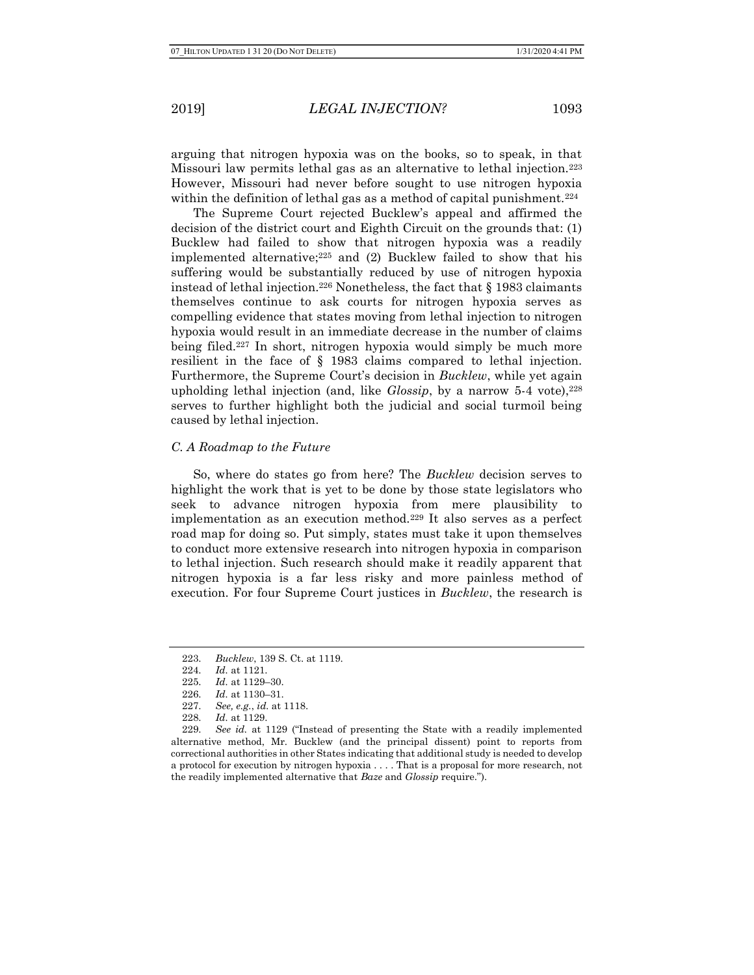arguing that nitrogen hypoxia was on the books, so to speak, in that Missouri law permits lethal gas as an alternative to lethal injection.<sup>223</sup> However, Missouri had never before sought to use nitrogen hypoxia within the definition of lethal gas as a method of capital punishment.<sup>224</sup>

The Supreme Court rejected Bucklew's appeal and affirmed the decision of the district court and Eighth Circuit on the grounds that: (1) Bucklew had failed to show that nitrogen hypoxia was a readily implemented alternative;225 and (2) Bucklew failed to show that his suffering would be substantially reduced by use of nitrogen hypoxia instead of lethal injection.<sup>226</sup> Nonetheless, the fact that  $\S$  1983 claimants themselves continue to ask courts for nitrogen hypoxia serves as compelling evidence that states moving from lethal injection to nitrogen hypoxia would result in an immediate decrease in the number of claims being filed.227 In short, nitrogen hypoxia would simply be much more resilient in the face of § 1983 claims compared to lethal injection. Furthermore, the Supreme Court's decision in *Bucklew*, while yet again upholding lethal injection (and, like  $Glossip$ , by a narrow 5-4 vote),  $228$ serves to further highlight both the judicial and social turmoil being caused by lethal injection.

#### C. A Roadmap to the Future

So, where do states go from here? The Bucklew decision serves to highlight the work that is yet to be done by those state legislators who seek to advance nitrogen hypoxia from mere plausibility to implementation as an execution method.229 It also serves as a perfect road map for doing so. Put simply, states must take it upon themselves to conduct more extensive research into nitrogen hypoxia in comparison to lethal injection. Such research should make it readily apparent that nitrogen hypoxia is a far less risky and more painless method of execution. For four Supreme Court justices in *Bucklew*, the research is

<sup>223.</sup> Bucklew, 139 S. Ct. at 1119.

<sup>224.</sup> Id. at 1121.

<sup>225.</sup> Id. at 1129–30.

<sup>226.</sup> Id. at 1130–31.

<sup>227.</sup> See, e.g., id. at 1118.

<sup>228.</sup> Id. at 1129.

<sup>229.</sup> See id. at 1129 ("Instead of presenting the State with a readily implemented alternative method, Mr. Bucklew (and the principal dissent) point to reports from correctional authorities in other States indicating that additional study is needed to develop a protocol for execution by nitrogen hypoxia . . . . That is a proposal for more research, not the readily implemented alternative that Baze and Glossip require.").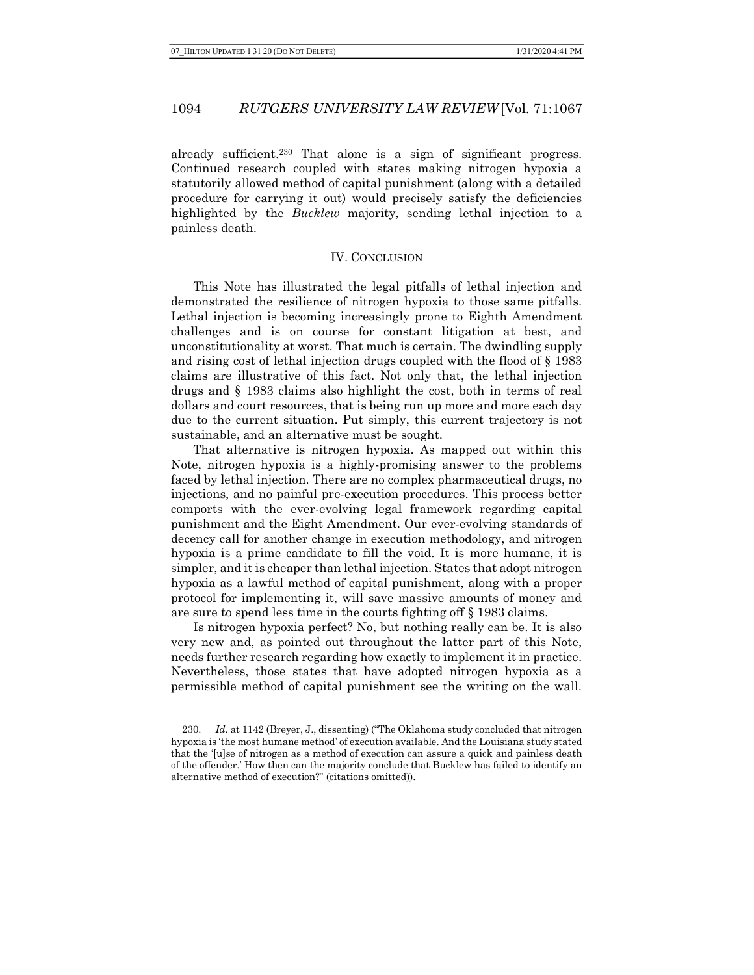already sufficient.230 That alone is a sign of significant progress. Continued research coupled with states making nitrogen hypoxia a statutorily allowed method of capital punishment (along with a detailed procedure for carrying it out) would precisely satisfy the deficiencies highlighted by the *Bucklew* majority, sending lethal injection to a painless death.

### IV. CONCLUSION

This Note has illustrated the legal pitfalls of lethal injection and demonstrated the resilience of nitrogen hypoxia to those same pitfalls. Lethal injection is becoming increasingly prone to Eighth Amendment challenges and is on course for constant litigation at best, and unconstitutionality at worst. That much is certain. The dwindling supply and rising cost of lethal injection drugs coupled with the flood of § 1983 claims are illustrative of this fact. Not only that, the lethal injection drugs and § 1983 claims also highlight the cost, both in terms of real dollars and court resources, that is being run up more and more each day due to the current situation. Put simply, this current trajectory is not sustainable, and an alternative must be sought.

That alternative is nitrogen hypoxia. As mapped out within this Note, nitrogen hypoxia is a highly-promising answer to the problems faced by lethal injection. There are no complex pharmaceutical drugs, no injections, and no painful pre-execution procedures. This process better comports with the ever-evolving legal framework regarding capital punishment and the Eight Amendment. Our ever-evolving standards of decency call for another change in execution methodology, and nitrogen hypoxia is a prime candidate to fill the void. It is more humane, it is simpler, and it is cheaper than lethal injection. States that adopt nitrogen hypoxia as a lawful method of capital punishment, along with a proper protocol for implementing it, will save massive amounts of money and are sure to spend less time in the courts fighting off § 1983 claims.

Is nitrogen hypoxia perfect? No, but nothing really can be. It is also very new and, as pointed out throughout the latter part of this Note, needs further research regarding how exactly to implement it in practice. Nevertheless, those states that have adopted nitrogen hypoxia as a permissible method of capital punishment see the writing on the wall.

<sup>230.</sup> Id. at 1142 (Breyer, J., dissenting) ("The Oklahoma study concluded that nitrogen hypoxia is 'the most humane method' of execution available. And the Louisiana study stated that the '[u]se of nitrogen as a method of execution can assure a quick and painless death of the offender.' How then can the majority conclude that Bucklew has failed to identify an alternative method of execution?" (citations omitted)).